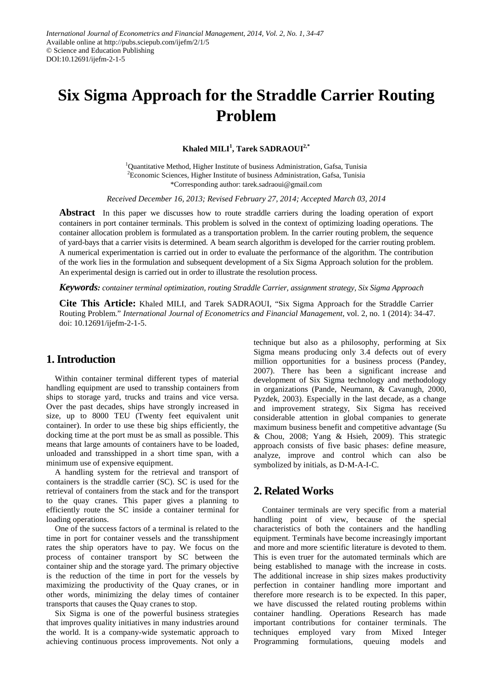# **Six Sigma Approach for the Straddle Carrier Routing Problem**

## $K$ haled MILI<sup>1</sup>, Tarek SADRAOUI<sup>2,\*</sup>

<sup>1</sup>Quantitative Method, Higher Institute of business Administration, Gafsa, Tunisia <sup>2</sup> Economic Sciences, Higher Institute of business Administration, Gafsa, Tunisia \*Corresponding author: tarek.sadraoui@gmail.com

*Received December 16, 2013; Revised February 27, 2014; Accepted March 03, 2014*

**Abstract** In this paper we discusses how to route straddle carriers during the loading operation of export containers in port container terminals. This problem is solved in the context of optimizing loading operations. The container allocation problem is formulated as a transportation problem. In the carrier routing problem, the sequence of yard-bays that a carrier visits is determined. A beam search algorithm is developed for the carrier routing problem. A numerical experimentation is carried out in order to evaluate the performance of the algorithm. The contribution of the work lies in the formulation and subsequent development of a Six Sigma Approach solution for the problem. An experimental design is carried out in order to illustrate the resolution process.

#### *Keywords: container terminal optimization, routing Straddle Carrier, assignment strategy, Six Sigma Approach*

**Cite This Article:** Khaled MILI, and Tarek SADRAOUI, "Six Sigma Approach for the Straddle Carrier Routing Problem." *International Journal of Econometrics and Financial Management*, vol. 2, no. 1 (2014): 34-47. doi: 10.12691/ijefm-2-1-5.

# **1. Introduction**

Within container terminal different types of material handling equipment are used to transship containers from ships to storage yard, trucks and trains and vice versa. Over the past decades, ships have strongly increased in size, up to 8000 TEU (Twenty feet equivalent unit container). In order to use these big ships efficiently, the docking time at the port must be as small as possible. This means that large amounts of containers have to be loaded, unloaded and transshipped in a short time span, with a minimum use of expensive equipment.

A handling system for the retrieval and transport of containers is the straddle carrier (SC). SC is used for the retrieval of containers from the stack and for the transport to the quay cranes. This paper gives a planning to efficiently route the SC inside a container terminal for loading operations.

One of the success factors of a terminal is related to the time in port for container vessels and the transshipment rates the ship operators have to pay. We focus on the process of container transport by SC between the container ship and the storage yard. The primary objective is the reduction of the time in port for the vessels by maximizing the productivity of the Quay cranes, or in other words, minimizing the delay times of container transports that causes the Quay cranes to stop.

Six Sigma is one of the powerful business strategies that improves quality initiatives in many industries around the world. It is a company-wide systematic approach to achieving continuous process improvements. Not only a technique but also as a philosophy, performing at Six Sigma means producing only 3.4 defects out of every million opportunities for a business process (Pandey, 2007). There has been a significant increase and development of Six Sigma technology and methodology in organizations (Pande, Neumann, & Cavanugh, 2000, Pyzdek, 2003). Especially in the last decade, as a change and improvement strategy, Six Sigma has received considerable attention in global companies to generate maximum business benefit and competitive advantage (Su & Chou, 2008; Yang & Hsieh, 2009). This strategic approach consists of five basic phases: define measure, analyze, improve and control which can also be symbolized by initials, as D-M-A-I-C.

# **2. Related Works**

Container terminals are very specific from a material handling point of view, because of the special characteristics of both the containers and the handling equipment. Terminals have become increasingly important and more and more scientific literature is devoted to them. This is even truer for the automated terminals which are being established to manage with the increase in costs. The additional increase in ship sizes makes productivity perfection in container handling more important and therefore more research is to be expected. In this paper, we have discussed the related routing problems within container handling. Operations Research has made important contributions for container terminals. The techniques employed vary from Mixed Integer Programming formulations, queuing models and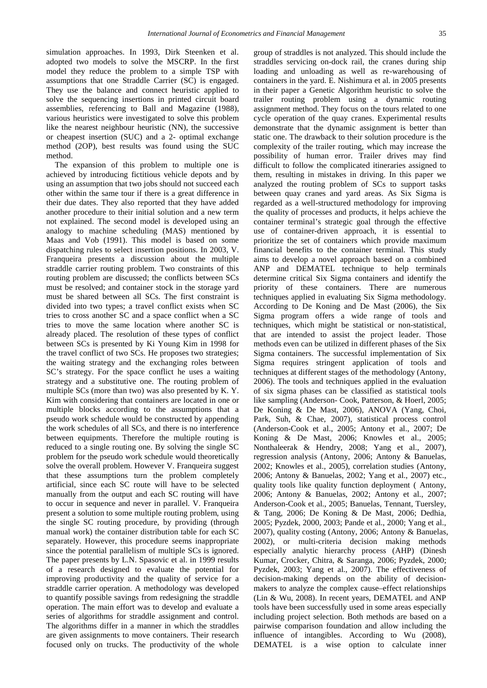simulation approaches. In 1993, Dirk Steenken et al. adopted two models to solve the MSCRP. In the first model they reduce the problem to a simple TSP with assumptions that one Straddle Carrier (SC) is engaged. They use the balance and connect heuristic applied to solve the sequencing insertions in printed circuit board assemblies, referencing to Ball and Magazine (1988), various heuristics were investigated to solve this problem like the nearest neighbour heuristic (NN), the successive or cheapest insertion (SUC) and a 2- optimal exchange method (2OP), best results was found using the SUC method.

The expansion of this problem to multiple one is achieved by introducing fictitious vehicle depots and by using an assumption that two jobs should not succeed each other within the same tour if there is a great difference in their due dates. They also reported that they have added another procedure to their initial solution and a new term not explained. The second model is developed using an analogy to machine scheduling (MAS) mentioned by Maas and Vob (1991). This model is based on some dispatching rules to select insertion positions. In 2003, V. Franqueira presents a discussion about the multiple straddle carrier routing problem. Two constraints of this routing problem are discussed; the conflicts between SCs must be resolved; and container stock in the storage yard must be shared between all SCs. The first constraint is divided into two types; a travel conflict exists when SC tries to cross another SC and a space conflict when a SC tries to move the same location where another SC is already placed. The resolution of these types of conflict between SCs is presented by Ki Young Kim in 1998 for the travel conflict of two SCs. He proposes two strategies; the waiting strategy and the exchanging roles between SC's strategy. For the space conflict he uses a waiting strategy and a substitutive one. The routing problem of multiple SCs (more than two) was also presented by K. Y. Kim with considering that containers are located in one or multiple blocks according to the assumptions that a pseudo work schedule would be constructed by appending the work schedules of all SCs, and there is no interference between equipments. Therefore the multiple routing is reduced to a single routing one. By solving the single SC problem for the pseudo work schedule would theoretically solve the overall problem. However V. Franqueira suggest that these assumptions turn the problem completely artificial, since each SC route will have to be selected manually from the output and each SC routing will have to occur in sequence and never in parallel. V. Franqueira present a solution to some multiple routing problem, using the single SC routing procedure, by providing (through manual work) the container distribution table for each SC separately. However, this procedure seems inappropriate since the potential parallelism of multiple SCs is ignored. The paper presents by L.N. Spasovic et al. in 1999 results of a research designed to evaluate the potential for improving productivity and the quality of service for a straddle carrier operation. A methodology was developed to quantify possible savings from redesigning the straddle operation. The main effort was to develop and evaluate a series of algorithms for straddle assignment and control. The algorithms differ in a manner in which the straddles are given assignments to move containers. Their research focused only on trucks. The productivity of the whole

group of straddles is not analyzed. This should include the straddles servicing on-dock rail, the cranes during ship loading and unloading as well as re-warehousing of containers in the yard. E. Nishimura et al. in 2005 presents in their paper a Genetic Algorithm heuristic to solve the trailer routing problem using a dynamic routing assignment method. They focus on the tours related to one cycle operation of the quay cranes. Experimental results demonstrate that the dynamic assignment is better than static one. The drawback to their solution procedure is the complexity of the trailer routing, which may increase the possibility of human error. Trailer drives may find difficult to follow the complicated itineraries assigned to them, resulting in mistakes in driving. In this paper we analyzed the routing problem of SCs to support tasks between quay cranes and yard areas. As Six Sigma is regarded as a well-structured methodology for improving the quality of processes and products, it helps achieve the container terminal's strategic goal through the effective use of container-driven approach, it is essential to prioritize the set of containers which provide maximum financial benefits to the container terminal. This study aims to develop a novel approach based on a combined ANP and DEMATEL technique to help terminals determine critical Six Sigma containers and identify the priority of these containers. There are numerous techniques applied in evaluating Six Sigma methodology. According to De Koning and De Mast (2006), the Six Sigma program offers a wide range of tools and techniques, which might be statistical or non-statistical, that are intended to assist the project leader. Those methods even can be utilized in different phases of the Six Sigma containers. The successful implementation of Six Sigma requires stringent application of tools and techniques at different stages of the methodology (Antony, 2006). The tools and techniques applied in the evaluation of six sigma phases can be classified as statistical tools like sampling (Anderson- Cook, Patterson, & Hoerl, 2005; De Koning & De Mast, 2006), ANOVA (Yang, Choi, Park, Suh, & Chae, 2007), statistical process control (Anderson-Cook et al., 2005; Antony et al., 2007; De Koning & De Mast, 2006; Knowles et al., 2005; Nonthaleerak & Hendry, 2008; Yang et al., 2007), regression analysis (Antony, 2006; Antony & Banuelas, 2002; Knowles et al., 2005), correlation studies (Antony, 2006; Antony & Banuelas, 2002; Yang et al., 2007) etc., quality tools like quality function deployment ( Antony, 2006; Antony & Banuelas, 2002; Antony et al., 2007; Anderson-Cook et al., 2005; Banuelas, Tennant, Tuersley, & Tang, 2006; De Koning & De Mast, 2006; Dedhia, 2005; Pyzdek, 2000, 2003; Pande et al., 2000; Yang et al., 2007), quality costing (Antony, 2006; Antony & Banuelas, 2002), or multi-criteria decision making methods especially analytic hierarchy process (AHP) (Dinesh Kumar, Crocker, Chitra, & Saranga, 2006; Pyzdek, 2000; Pyzdek, 2003; Yang et al., 2007). The effectiveness of decision-making depends on the ability of decisionmakers to analyze the complex cause–effect relationships (Lin & Wu, 2008). In recent years, DEMATEL and ANP tools have been successfully used in some areas especially including project selection. Both methods are based on a pairwise comparison foundation and allow including the influence of intangibles. According to Wu (2008), DEMATEL is a wise option to calculate inner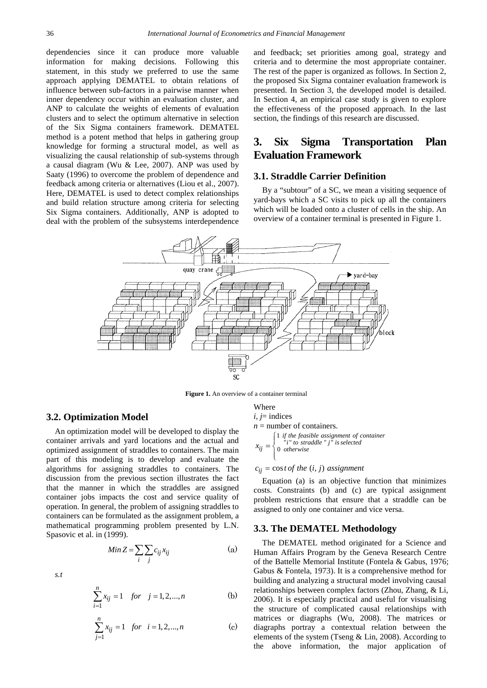dependencies since it can produce more valuable information for making decisions. Following this statement, in this study we preferred to use the same approach applying DEMATEL to obtain relations of influence between sub-factors in a pairwise manner when inner dependency occur within an evaluation cluster, and ANP to calculate the weights of elements of evaluation clusters and to select the optimum alternative in selection of the Six Sigma containers framework. DEMATEL method is a potent method that helps in gathering group knowledge for forming a structural model, as well as visualizing the causal relationship of sub-systems through a causal diagram (Wu & Lee, 2007). ANP was used by Saaty (1996) to overcome the problem of dependence and feedback among criteria or alternatives (Liou et al., 2007). Here, DEMATEL is used to detect complex relationships and build relation structure among criteria for selecting Six Sigma containers. Additionally, ANP is adopted to deal with the problem of the subsystems interdependence

and feedback; set priorities among goal, strategy and criteria and to determine the most appropriate container. The rest of the paper is organized as follows. In Section 2, the proposed Six Sigma container evaluation framework is presented. In Section 3, the developed model is detailed. In Section 4, an empirical case study is given to explore the effectiveness of the proposed approach. In the last section, the findings of this research are discussed.

# **3. Six Sigma Transportation Plan Evaluation Framework**

## **3.1. Straddle Carrier Definition**

By a "subtour" of a SC, we mean a visiting sequence of yard-bays which a SC visits to pick up all the containers which will be loaded onto a cluster of cells in the ship. An overview of a container terminal is presented in Figure 1.



**Figure 1.** An overview of a container terminal

#### **3.2. Optimization Model**

An optimization model will be developed to display the container arrivals and yard locations and the actual and optimized assignment of straddles to containers. The main part of this modeling is to develop and evaluate the algorithms for assigning straddles to containers. The discussion from the previous section illustrates the fact that the manner in which the straddles are assigned container jobs impacts the cost and service quality of operation. In general, the problem of assigning straddles to containers can be formulated as the assignment problem, a mathematical programming problem presented by L.N. Spasovic et al. in (1999).

$$
Min Z = \sum_{i} \sum_{j} c_{ij} x_{ij}
$$
 (a)

*s.t*

$$
\sum_{i=1}^{n} x_{ij} = 1 \quad \text{for} \quad j = 1, 2, ..., n \tag{b}
$$

$$
\sum_{j=1}^{n} x_{ij} = 1 \quad \text{for} \quad i = 1, 2, ..., n \tag{c}
$$

Where *i, j*= indices

$$
n =
$$
 number of containers.

$$
x_{ij} = \begin{cases} 1 & \text{if the feasible assignment of container} \\ "i" \text{ to straddle "j" is selected} \\ 0 & \text{otherwise} \end{cases}
$$

 $c_{ij} = \cos t$  of the  $(i, j)$  assignment

Equation (a) is an objective function that minimizes costs. Constraints (b) and (c) are typical assignment problem restrictions that ensure that a straddle can be assigned to only one container and vice versa.

#### **3.3. The DEMATEL Methodology**

The DEMATEL method originated for a Science and Human Affairs Program by the Geneva Research Centre of the Battelle Memorial Institute (Fontela & Gabus, 1976; Gabus & Fontela, 1973). It is a comprehensive method for building and analyzing a structural model involving causal relationships between complex factors (Zhou, Zhang, & Li, 2006). It is especially practical and useful for visualising the structure of complicated causal relationships with matrices or diagraphs (Wu, 2008). The matrices or diagraphs portray a contextual relation between the elements of the system (Tseng & Lin, 2008). According to the above information, the major application of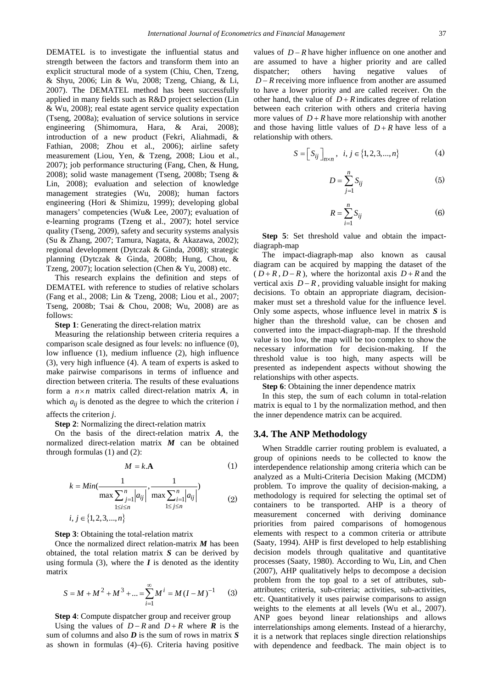DEMATEL is to investigate the influential status and strength between the factors and transform them into an explicit structural mode of a system (Chiu, Chen, Tzeng, & Shyu, 2006; Lin & Wu, 2008; Tzeng, Chiang, & Li, 2007). The DEMATEL method has been successfully applied in many fields such as R&D project selection (Lin & Wu, 2008); real estate agent service quality expectation (Tseng, 2008a); evaluation of service solutions in service engineering (Shimomura, Hara, & Arai, 2008); introduction of a new product (Fekri, Aliahmadi, & Fathian, 2008; Zhou et al., 2006); airline safety measurement (Liou, Yen, & Tzeng, 2008; Liou et al., 2007); job performance structuring (Fang, Chen, & Hung, 2008); solid waste management (Tseng, 2008b; Tseng & Lin, 2008); evaluation and selection of knowledge management strategies (Wu, 2008); human factors engineering (Hori & Shimizu, 1999); developing global managers' competencies (Wu& Lee, 2007); evaluation of e-learning programs (Tzeng et al., 2007); hotel service quality (Tseng, 2009), safety and security systems analysis (Su & Zhang, 2007; Tamura, Nagata, & Akazawa, 2002); regional development (Dytczak & Ginda, 2008); strategic planning (Dytczak & Ginda, 2008b; Hung, Chou, & Tzeng, 2007); location selection (Chen & Yu, 2008) etc.

This research explains the definition and steps of DEMATEL with reference to studies of relative scholars (Fang et al., 2008; Lin & Tzeng, 2008; Liou et al., 2007; Tseng, 2008b; Tsai & Chou, 2008; Wu, 2008) are as follows:

**Step 1**: Generating the direct-relation matrix

Measuring the relationship between criteria requires a comparison scale designed as four levels: no influence (0), low influence (1), medium influence (2), high influence (3), very high influence (4). A team of experts is asked to make pairwise comparisons in terms of influence and direction between criteria. The results of these evaluations form a  $n \times n$  matrix called direct-relation matrix  $A$ , in which  $a_{ij}$  is denoted as the degree to which the criterion  $i$ 

affects the criterion *j*.

**Step 2**: Normalizing the direct-relation matrix

On the basis of the direct-relation matrix *A*, the normalized direct-relation matrix *M* can be obtained through formulas (1) and (2):

$$
M = k \mathbf{A} \tag{1}
$$

$$
k = Min(\frac{1}{\max \sum_{j=1}^{n} |a_{ij}|}, \frac{1}{\max \sum_{i=1}^{n} |a_{ij}|})
$$
  

$$
i, j \in \{1, 2, 3, ..., n\}
$$
 (2)

**Step 3**: Obtaining the total-relation matrix

Once the normalized direct relation-matrix *M* has been obtained, the total relation matrix *S* can be derived by using formula  $(3)$ , where the *I* is denoted as the identity matrix

$$
S = M + M^{2} + M^{3} + ... = \sum_{i=1}^{\infty} M^{i} = M (I - M)^{-1}
$$
 (3)

**Step 4**: Compute dispatcher group and receiver group

Using the values of  $D-R$  and  $D+R$  where **R** is the sum of columns and also *D* is the sum of rows in matrix *S* as shown in formulas  $(4)$ – $(6)$ . Criteria having positive values of *D*−*R* have higher influence on one another and are assumed to have a higher priority and are called dispatcher; others having negative values of *D*−*R* receiving more influence from another are assumed to have a lower priority and are called receiver. On the other hand, the value of  $D + R$  indicates degree of relation between each criterion with others and criteria having more values of  $D + R$  have more relationship with another and those having little values of  $D + R$  have less of a relationship with others.

$$
S = [S_{ij}]_{n \times n}, \quad i, j \in \{1, 2, 3, ..., n\}
$$
 (4)

$$
D = \sum_{j=1}^{n} S_{ij} \tag{5}
$$

$$
R = \sum_{i=1}^{n} S_{ij} \tag{6}
$$

**Step 5**: Set threshold value and obtain the impactdiagraph-map

The impact-diagraph-map also known as causal diagram can be acquired by mapping the dataset of the  $(D+R, D-R)$ , where the horizontal axis  $D+R$  and the vertical axis  $D - R$ , providing valuable insight for making decisions. To obtain an appropriate diagram, decisionmaker must set a threshold value for the influence level. Only some aspects, whose influence level in matrix *S* is higher than the threshold value, can be chosen and converted into the impact-diagraph-map. If the threshold value is too low, the map will be too complex to show the necessary information for decision-making. If the threshold value is too high, many aspects will be presented as independent aspects without showing the relationships with other aspects.

**Step 6**: Obtaining the inner dependence matrix

In this step, the sum of each column in total-relation matrix is equal to 1 by the normalization method, and then the inner dependence matrix can be acquired.

#### **3.4. The ANP Methodology**

When Straddle carrier routing problem is evaluated, a group of opinions needs to be collected to know the interdependence relationship among criteria which can be analyzed as a Multi-Criteria Decision Making (MCDM) problem. To improve the quality of decision-making, a methodology is required for selecting the optimal set of containers to be transported. AHP is a theory of measurement concerned with deriving dominance priorities from paired comparisons of homogenous elements with respect to a common criteria or attribute (Saaty, 1994). AHP is first developed to help establishing decision models through qualitative and quantitative processes (Saaty, 1980). According to Wu, Lin, and Chen (2007), AHP qualitatively helps to decompose a decision problem from the top goal to a set of attributes, subattributes; criteria, sub-criteria; activities, sub-activities, etc. Quantitatively it uses pairwise comparisons to assign weights to the elements at all levels (Wu et al., 2007). ANP goes beyond linear relationships and allows interrelationships among elements. Instead of a hierarchy, it is a network that replaces single direction relationships with dependence and feedback. The main object is to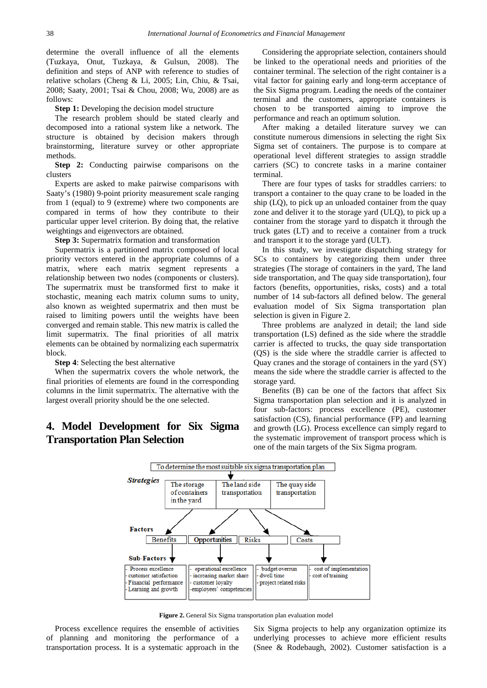determine the overall influence of all the elements (Tuzkaya, Onut, Tuzkaya, & Gulsun, 2008). The definition and steps of ANP with reference to studies of relative scholars (Cheng & Li, 2005; Lin, Chiu, & Tsai, 2008; Saaty, 2001; Tsai & Chou, 2008; Wu, 2008) are as follows:

**Step 1:** Developing the decision model structure

The research problem should be stated clearly and decomposed into a rational system like a network. The structure is obtained by decision makers through brainstorming, literature survey or other appropriate methods.

**Step 2:** Conducting pairwise comparisons on the clusters

Experts are asked to make pairwise comparisons with Saaty's (1980) 9-point priority measurement scale ranging from 1 (equal) to 9 (extreme) where two components are compared in terms of how they contribute to their particular upper level criterion. By doing that, the relative weightings and eigenvectors are obtained.

**Step 3:** Supermatrix formation and transformation

Supermatrix is a partitioned matrix composed of local priority vectors entered in the appropriate columns of a matrix, where each matrix segment represents a relationship between two nodes (components or clusters). The supermatrix must be transformed first to make it stochastic, meaning each matrix column sums to unity, also known as weighted supermatrix and then must be raised to limiting powers until the weights have been converged and remain stable. This new matrix is called the limit supermatrix. The final priorities of all matrix elements can be obtained by normalizing each supermatrix block.

**Step 4**: Selecting the best alternative

When the supermatrix covers the whole network, the final priorities of elements are found in the corresponding columns in the limit supermatrix. The alternative with the largest overall priority should be the one selected.

# **4. Model Development for Six Sigma Transportation Plan Selection**

Considering the appropriate selection, containers should be linked to the operational needs and priorities of the container terminal. The selection of the right container is a vital factor for gaining early and long-term acceptance of the Six Sigma program. Leading the needs of the container terminal and the customers, appropriate containers is chosen to be transported aiming to improve the performance and reach an optimum solution.

After making a detailed literature survey we can constitute numerous dimensions in selecting the right Six Sigma set of containers. The purpose is to compare at operational level different strategies to assign straddle carriers (SC) to concrete tasks in a marine container terminal.

There are four types of tasks for straddles carriers: to transport a container to the quay crane to be loaded in the ship (LQ), to pick up an unloaded container from the quay zone and deliver it to the storage yard (ULQ), to pick up a container from the storage yard to dispatch it through the truck gates (LT) and to receive a container from a truck and transport it to the storage yard (ULT).

In this study, we investigate dispatching strategy for SCs to containers by categorizing them under three strategies (The storage of containers in the yard, The land side transportation, and The quay side transportation), four factors (benefits, opportunities, risks, costs) and a total number of 14 sub-factors all defined below. The general evaluation model of Six Sigma transportation plan selection is given in Figure 2.

Three problems are analyzed in detail; the land side transportation (LS) defined as the side where the straddle carrier is affected to trucks, the quay side transportation (QS) is the side where the straddle carrier is affected to Quay cranes and the storage of containers in the yard (SY) means the side where the straddle carrier is affected to the storage yard.

Benefits (B) can be one of the factors that affect Six Sigma transportation plan selection and it is analyzed in four sub-factors: process excellence (PE), customer satisfaction (CS), financial performance (FP) and learning and growth (LG). Process excellence can simply regard to the systematic improvement of transport process which is one of the main targets of the Six Sigma program.



**Figure 2.** General Six Sigma transportation plan evaluation model

Process excellence requires the ensemble of activities of planning and monitoring the performance of a transportation process. It is a systematic approach in the Six Sigma projects to help any organization optimize its underlying processes to achieve more efficient results (Snee & Rodebaugh, 2002). Customer satisfaction is a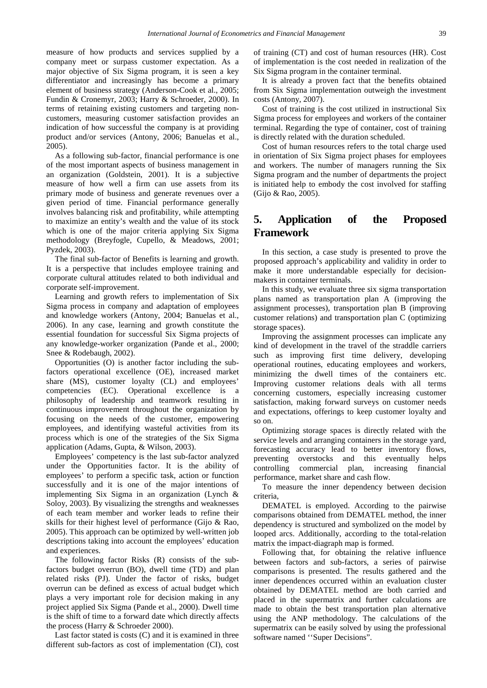measure of how products and services supplied by a company meet or surpass customer expectation. As a major objective of Six Sigma program, it is seen a key differentiator and increasingly has become a primary element of business strategy (Anderson-Cook et al., 2005; Fundin & Cronemyr, 2003; Harry & Schroeder, 2000). In terms of retaining existing customers and targeting noncustomers, measuring customer satisfaction provides an indication of how successful the company is at providing product and/or services (Antony, 2006; Banuelas et al., 2005).

As a following sub-factor, financial performance is one of the most important aspects of business management in an organization (Goldstein, 2001). It is a subjective measure of how well a firm can use assets from its primary mode of business and generate revenues over a given period of time. Financial performance generally involves balancing risk and profitability, while attempting to maximize an entity's wealth and the value of its stock which is one of the major criteria applying Six Sigma methodology (Breyfogle, Cupello, & Meadows, 2001; Pyzdek, 2003).

The final sub-factor of Benefits is learning and growth. It is a perspective that includes employee training and corporate cultural attitudes related to both individual and corporate self-improvement.

Learning and growth refers to implementation of Six Sigma process in company and adaptation of employees and knowledge workers (Antony, 2004; Banuelas et al., 2006). In any case, learning and growth constitute the essential foundation for successful Six Sigma projects of any knowledge-worker organization (Pande et al., 2000; Snee & Rodebaugh, 2002).

Opportunities (O) is another factor including the subfactors operational excellence (OE), increased market share (MS), customer loyalty (CL) and employees' competencies (EC). Operational excellence is a philosophy of leadership and teamwork resulting in continuous improvement throughout the organization by focusing on the needs of the customer, empowering employees, and identifying wasteful activities from its process which is one of the strategies of the Six Sigma application (Adams, Gupta, & Wilson, 2003).

Employees' competency is the last sub-factor analyzed under the Opportunities factor. It is the ability of employees' to perform a specific task, action or function successfully and it is one of the major intentions of implementing Six Sigma in an organization (Lynch & Soloy, 2003). By visualizing the strengths and weaknesses of each team member and worker leads to refine their skills for their highest level of performance (Gijo & Rao, 2005). This approach can be optimized by well-written job descriptions taking into account the employees' education and experiences.

The following factor Risks (R) consists of the subfactors budget overrun (BO), dwell time (TD) and plan related risks (PJ). Under the factor of risks, budget overrun can be defined as excess of actual budget which plays a very important role for decision making in any project applied Six Sigma (Pande et al., 2000). Dwell time is the shift of time to a forward date which directly affects the process (Harry & Schroeder 2000).

Last factor stated is costs (C) and it is examined in three different sub-factors as cost of implementation (CI), cost of training (CT) and cost of human resources (HR). Cost of implementation is the cost needed in realization of the Six Sigma program in the container terminal.

It is already a proven fact that the benefits obtained from Six Sigma implementation outweigh the investment costs (Antony, 2007).

Cost of training is the cost utilized in instructional Six Sigma process for employees and workers of the container terminal. Regarding the type of container, cost of training is directly related with the duration scheduled.

Cost of human resources refers to the total charge used in orientation of Six Sigma project phases for employees and workers. The number of managers running the Six Sigma program and the number of departments the project is initiated help to embody the cost involved for staffing (Gijo & Rao, 2005).

# **5. Application of the Proposed Framework**

In this section, a case study is presented to prove the proposed approach's applicability and validity in order to make it more understandable especially for decisionmakers in container terminals.

In this study, we evaluate three six sigma transportation plans named as transportation plan A (improving the assignment processes), transportation plan B (improving customer relations) and transportation plan C (optimizing storage spaces).

Improving the assignment processes can implicate any kind of development in the travel of the straddle carriers such as improving first time delivery, developing operational routines, educating employees and workers, minimizing the dwell times of the containers etc. Improving customer relations deals with all terms concerning customers, especially increasing customer satisfaction, making forward surveys on customer needs and expectations, offerings to keep customer loyalty and so on.

Optimizing storage spaces is directly related with the service levels and arranging containers in the storage yard, forecasting accuracy lead to better inventory flows, preventing overstocks and this eventually helps controlling commercial plan, increasing financial performance, market share and cash flow.

To measure the inner dependency between decision criteria,

DEMATEL is employed. According to the pairwise comparisons obtained from DEMATEL method, the inner dependency is structured and symbolized on the model by looped arcs. Additionally, according to the total-relation matrix the impact-diagraph map is formed.

Following that, for obtaining the relative influence between factors and sub-factors, a series of pairwise comparisons is presented. The results gathered and the inner dependences occurred within an evaluation cluster obtained by DEMATEL method are both carried and placed in the supermatrix and further calculations are made to obtain the best transportation plan alternative using the ANP methodology. The calculations of the supermatrix can be easily solved by using the professional software named ''Super Decisions".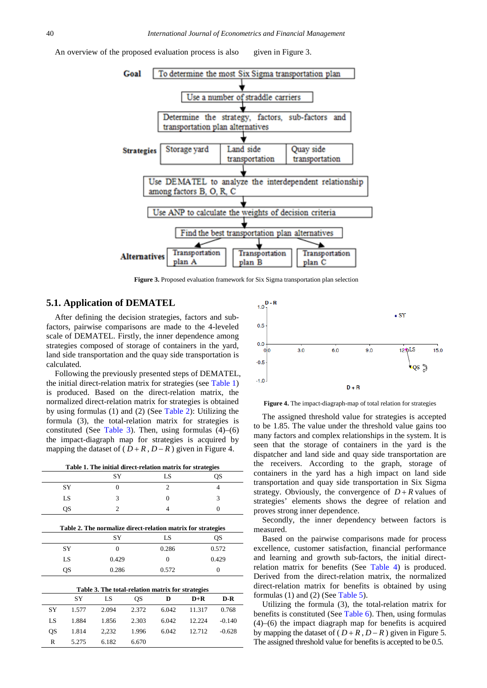An overview of the proposed evaluation process is also given in Figure 3.



**Figure 3.** Proposed evaluation framework for Six Sigma transportation plan selection

## **5.1. Application of DEMATEL**

After defining the decision strategies, factors and subfactors, pairwise comparisons are made to the 4-leveled scale of DEMATEL. Firstly, the inner dependence among strategies composed of storage of containers in the yard, land side transportation and the quay side transportation is calculated.

Following the previously presented steps of DEMATEL, the initial direct-relation matrix for strategies (see [Table 1\)](#page-6-0) is produced. Based on the direct-relation matrix, the normalized direct-relation matrix for strategies is obtained by using formulas (1) and (2) (See [Table 2\)](#page-6-1): Utilizing the formula (3), the total-relation matrix for strategies is constituted (See [Table 3\)](#page-6-2). Then, using formulas  $(4)$ – $(6)$ the impact-diagraph map for strategies is acquired by mapping the dataset of  $(D+R, D-R)$  given in Figure 4.

<span id="page-6-2"></span><span id="page-6-1"></span><span id="page-6-0"></span>

| Table 1. The initial direct-relation matrix for strategies |       |                |       |                                                   |                                                              |          |  |
|------------------------------------------------------------|-------|----------------|-------|---------------------------------------------------|--------------------------------------------------------------|----------|--|
|                                                            |       | SY             |       | LS                                                |                                                              | QS       |  |
|                                                            | SY    | $\Omega$       |       | $\overline{c}$                                    |                                                              | 4        |  |
|                                                            | LS    | 3              |       | $\Omega$                                          |                                                              | 3        |  |
|                                                            | QS    | $\overline{c}$ |       | 4                                                 |                                                              | $\Omega$ |  |
|                                                            |       |                |       |                                                   |                                                              |          |  |
|                                                            |       |                |       |                                                   | Table 2. The normalize direct-relation matrix for strategies |          |  |
|                                                            |       | SY             |       | LS                                                |                                                              | QS       |  |
|                                                            | SY    | $\theta$       |       | 0.286                                             | 0.572                                                        |          |  |
|                                                            | LS    | 0.429          |       | $\theta$                                          | 0.429                                                        |          |  |
|                                                            | QS    | 0.286          |       | 0.572                                             | $\theta$                                                     |          |  |
|                                                            |       |                |       |                                                   |                                                              |          |  |
|                                                            |       |                |       | Table 3. The total-relation matrix for strategies |                                                              |          |  |
|                                                            | SY    | LS             | QS    | D                                                 | $D+R$                                                        | $D-R$    |  |
| SY                                                         | 1.577 | 2.094          | 2.372 | 6.042                                             | 11.317                                                       | 0.768    |  |
| LS                                                         | 1.884 | 1.856          | 2.303 | 6.042                                             | 12.224                                                       | $-0.140$ |  |
| QS                                                         | 1.814 | 2,232          | 1.996 | 6.042                                             | 12.712                                                       | $-0.628$ |  |
| R                                                          | 5.275 | 6.182          | 6.670 |                                                   |                                                              |          |  |



**Figure 4.** The impact-diagraph-map of total relation for strategies

The assigned threshold value for strategies is accepted to be 1.85. The value under the threshold value gains too many factors and complex relationships in the system. It is seen that the storage of containers in the yard is the dispatcher and land side and quay side transportation are the receivers. According to the graph, storage of containers in the yard has a high impact on land side transportation and quay side transportation in Six Sigma strategy. Obviously, the convergence of  $D + R$  values of strategies' elements shows the degree of relation and proves strong inner dependence.

Secondly, the inner dependency between factors is measured.

Based on the pairwise comparisons made for process excellence, customer satisfaction, financial performance and learning and growth sub-factors, the initial directrelation matrix for benefits (See [Table 4\)](#page-7-0) is produced. Derived from the direct-relation matrix, the normalized direct-relation matrix for benefits is obtained by using formulas  $(1)$  and  $(2)$  (See [Table 5\)](#page-7-1).

Utilizing the formula (3), the total-relation matrix for benefits is constituted (See [Table 6\)](#page-7-2). Then, using formulas (4)–(6) the impact diagraph map for benefits is acquired by mapping the dataset of  $(D+R, D-R)$  given in Figure 5. The assigned threshold value for benefits is accepted to be 0.5.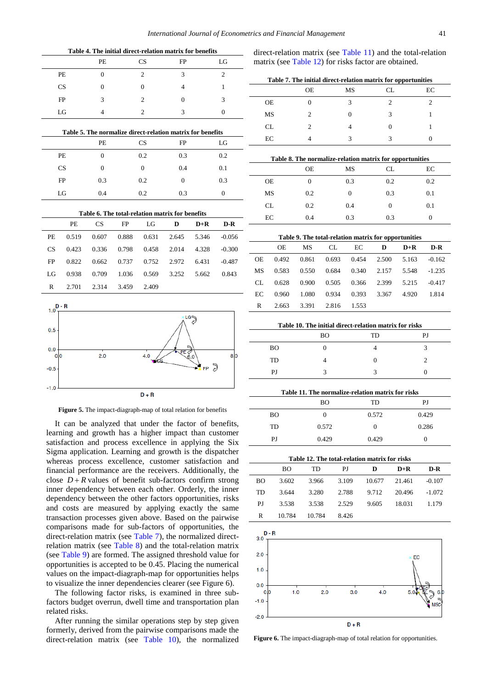<span id="page-7-0"></span>

| Table 4. The initial direct-relation matrix for benefits |    |    |    |    |  |  |  |
|----------------------------------------------------------|----|----|----|----|--|--|--|
|                                                          | PE | CS | FP | LG |  |  |  |
| PE.                                                      |    |    |    |    |  |  |  |
| CS                                                       |    |    |    |    |  |  |  |
| FP                                                       | 3  |    |    |    |  |  |  |
| LG                                                       |    |    |    |    |  |  |  |

<span id="page-7-1"></span>

| Table 5. The normalize direct-relation matrix for benefits |     |          |     |     |  |  |
|------------------------------------------------------------|-----|----------|-----|-----|--|--|
|                                                            | PE  | CS       | FP  | LG  |  |  |
| PE.                                                        |     | 0.2      | 0.3 | 0.2 |  |  |
| CS.                                                        |     | $\Omega$ | 0.4 | 0.1 |  |  |
| FP                                                         | 0.3 | 0.2      |     | 0.3 |  |  |
| LG                                                         | 0.4 | 0.2      | 0.3 |     |  |  |

<span id="page-7-2"></span>

| Table 6. The total-relation matrix for benefits |       |       |       |       |       |       |          |  |
|-------------------------------------------------|-------|-------|-------|-------|-------|-------|----------|--|
|                                                 | PE    | CS    | FP    | LG    | D     | $D+R$ | D-R      |  |
| PE.                                             | 0.519 | 0.607 | 0.888 | 0.631 | 2.645 | 5.346 | $-0.056$ |  |
| CS.                                             | 0.423 | 0.336 | 0.798 | 0.458 | 2.014 | 4.328 | $-0.300$ |  |
| FP                                              | 0.822 | 0.662 | 0.737 | 0.752 | 2.972 | 6.431 | $-0.487$ |  |
| LG                                              | 0.938 | 0.709 | 1.036 | 0.569 | 3.252 | 5.662 | 0.843    |  |
| R                                               | 2.701 | 2.314 | 3.459 | 2.409 |       |       |          |  |



**Figure 5.** The impact-diagraph-map of total relation for benefits

It can be analyzed that under the factor of benefits, learning and growth has a higher impact than customer satisfaction and process excellence in applying the Six Sigma application. Learning and growth is the dispatcher whereas process excellence, customer satisfaction and financial performance are the receivers. Additionally, the close  $D + R$  values of benefit sub-factors confirm strong inner dependency between each other. Orderly, the inner dependency between the other factors opportunities, risks and costs are measured by applying exactly the same transaction processes given above. Based on the pairwise comparisons made for sub-factors of opportunities, the direct-relation matrix (see [Table 7\)](#page-7-3), the normalized directrelation matrix (see [Table 8\)](#page-7-4) and the total-relation matrix (see [Table 9\)](#page-7-5) are formed. The assigned threshold value for opportunities is accepted to be 0.45. Placing the numerical values on the impact-diagraph-map for opportunities helps to visualize the inner dependencies clearer (see Figure 6).

The following factor risks, is examined in three subfactors budget overrun, dwell time and transportation plan related risks.

After running the similar operations step by step given formerly, derived from the pairwise comparisons made the direct-relation matrix (see [Table 10\)](#page-7-6), the normalized direct-relation matrix (see [Table 11\)](#page-7-7) and the total-relation matrix (see [Table 12\)](#page-7-8) for risks factor are obtained.

<span id="page-7-3"></span>

| Table 7. The initial direct-relation matrix for opportunities |    |    |     |    |  |  |  |  |
|---------------------------------------------------------------|----|----|-----|----|--|--|--|--|
|                                                               | OЕ | MS | CL. | ЕC |  |  |  |  |
| <b>OE</b>                                                     |    |    |     |    |  |  |  |  |
| MS                                                            |    |    |     |    |  |  |  |  |
| <b>CL</b>                                                     |    |    |     |    |  |  |  |  |
| EC                                                            |    |    |     |    |  |  |  |  |

<span id="page-7-4"></span>

| Table 8. The normalize-relation matrix for opportunities |     |     |     |     |  |  |  |
|----------------------------------------------------------|-----|-----|-----|-----|--|--|--|
|                                                          | OЕ  | MS  | CL. | EС  |  |  |  |
| OE.                                                      |     | 0.3 | 0.2 | 0.2 |  |  |  |
| MS                                                       | 0.2 |     | 0.3 | 0.1 |  |  |  |
| CL                                                       | 0.2 | 0.4 |     | 0.1 |  |  |  |
| EC                                                       | 0.4 | 0.3 | 0.3 |     |  |  |  |

<span id="page-7-5"></span>

| Table 9. The total-relation matrix for opportunities |       |       |       |       |       |       |          |  |
|------------------------------------------------------|-------|-------|-------|-------|-------|-------|----------|--|
|                                                      | OЕ    | МS    | CL.   | EC    | D     | $D+R$ | D-R      |  |
| OE                                                   | 0.492 | 0.861 | 0.693 | 0.454 | 2.500 | 5.163 | $-0.162$ |  |
| <b>MS</b>                                            | 0.583 | 0.550 | 0.684 | 0.340 | 2.157 | 5.548 | $-1.235$ |  |
| CL                                                   | 0.628 | 0.900 | 0.505 | 0.366 | 2.399 | 5.215 | $-0.417$ |  |
| EC                                                   | 0.960 | 1.080 | 0.934 | 0.393 | 3.367 | 4.920 | 1.814    |  |
| R                                                    | 2.663 | 3.391 | 2.816 | 1.553 |       |       |          |  |

<span id="page-7-6"></span>

| Table 10. The initial direct-relation matrix for risks |     |    |  |  |  |  |
|--------------------------------------------------------|-----|----|--|--|--|--|
|                                                        | BO. | TD |  |  |  |  |
| BО                                                     |     |    |  |  |  |  |
| TD                                                     |     |    |  |  |  |  |
| РI                                                     |     |    |  |  |  |  |

<span id="page-7-7"></span>

| Table 11. The normalize-relation matrix for risks |          |          |       |  |  |  |  |
|---------------------------------------------------|----------|----------|-------|--|--|--|--|
|                                                   | BO.      | TD       | P.J   |  |  |  |  |
| BO.                                               | $\theta$ | 0.572    | 0.429 |  |  |  |  |
| TD                                                | 0.572    | $\Omega$ | 0.286 |  |  |  |  |
| РJ                                                | 0.429    | 0.429    |       |  |  |  |  |

<span id="page-7-8"></span>

| Table 12. The total-relation matrix for risks |        |        |       |        |        |          |  |  |
|-----------------------------------------------|--------|--------|-------|--------|--------|----------|--|--|
|                                               | BO.    | TD     | РJ    | D      | $D+R$  | D-R      |  |  |
| BO.                                           | 3.602  | 3.966  | 3.109 | 10.677 | 21.461 | $-0.107$ |  |  |
| TD                                            | 3.644  | 3.280  | 2.788 | 9.712  | 20.496 | $-1.072$ |  |  |
| PJ                                            | 3.538  | 3.538  | 2.529 | 9.605  | 18.031 | 1.179    |  |  |
| R                                             | 10.784 | 10.784 | 8.426 |        |        |          |  |  |



**Figure 6.** The impact-diagraph-map of total relation for opportunities.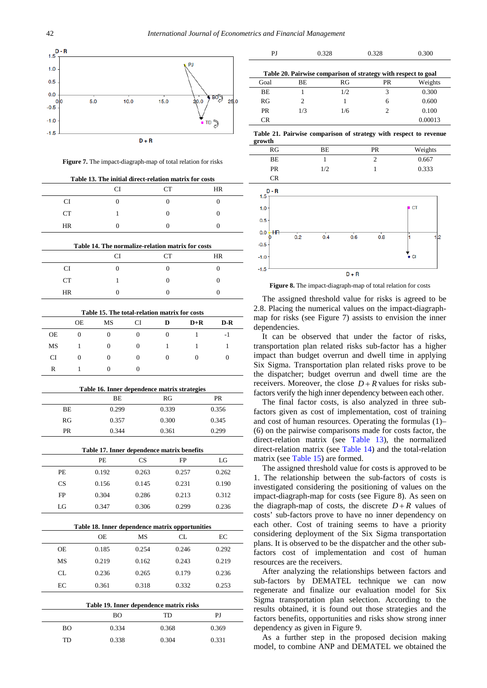

**Figure 7.** The impact-diagraph-map of total relation for risks

<span id="page-8-0"></span>

| Table 13. The initial direct-relation matrix for costs |          |                   |                   |  |  |  |  |
|--------------------------------------------------------|----------|-------------------|-------------------|--|--|--|--|
|                                                        | CI       | <b>CT</b>         | <b>HR</b>         |  |  |  |  |
| <b>CI</b>                                              | 0        | 0                 | Ω                 |  |  |  |  |
| <b>CT</b>                                              |          | $\mathbf{\Omega}$ |                   |  |  |  |  |
| <b>HR</b>                                              | $\Omega$ | $\mathbf{\Omega}$ |                   |  |  |  |  |
| Table 14. The normalize-relation matrix for costs      |          |                   |                   |  |  |  |  |
|                                                        | СI       | <b>CT</b>         | <b>HR</b>         |  |  |  |  |
| CI.                                                    | 0        | 0                 | 0                 |  |  |  |  |
| CT                                                     | 1        | $\Omega$          | Ω                 |  |  |  |  |
| <b>HR</b>                                              | 0        | $\Omega$          | $\mathbf{\Omega}$ |  |  |  |  |
| Table 15. The total-relation matrix for costs          |          |                   |                   |  |  |  |  |

<span id="page-8-2"></span><span id="page-8-1"></span>

|           | Table 15. The total-relation matrix for costs |    |          |        |       |       |  |
|-----------|-----------------------------------------------|----|----------|--------|-------|-------|--|
|           | OE                                            | MS | CI       | D      | $D+R$ | $D-R$ |  |
| <b>OE</b> |                                               |    |          |        |       | - 1   |  |
| MS        |                                               |    | $\Omega$ |        |       |       |  |
| CI        | $\theta$                                      |    | 0        | $_{0}$ |       |       |  |
| R         |                                               |    |          |        |       |       |  |

<span id="page-8-3"></span>

|     | Table 16. Inner dependence matrix strategies |       |       |
|-----|----------------------------------------------|-------|-------|
|     | BE.                                          | RG    | PR    |
| BE. | 0.299                                        | 0.339 | 0.356 |
| RG  | 0.357                                        | 0.300 | 0.345 |
| PR. | 0.344                                        | 0.361 | 0.299 |

<span id="page-8-4"></span>

| Table 17. Inner dependence matrix benefits |       |       |       |       |  |  |  |  |  |
|--------------------------------------------|-------|-------|-------|-------|--|--|--|--|--|
|                                            | PE    | CS    | FP    | LG    |  |  |  |  |  |
| PE                                         | 0.192 | 0.263 | 0.257 | 0.262 |  |  |  |  |  |
| CS.                                        | 0.156 | 0.145 | 0.231 | 0.190 |  |  |  |  |  |
| FP                                         | 0.304 | 0.286 | 0.213 | 0.312 |  |  |  |  |  |
| LG                                         | 0.347 | 0.306 | 0.299 | 0.236 |  |  |  |  |  |

<span id="page-8-6"></span><span id="page-8-5"></span>

| Table 18. Inner dependence matrix opportunities |                                         |           |       |       |  |  |  |  |  |  |
|-------------------------------------------------|-----------------------------------------|-----------|-------|-------|--|--|--|--|--|--|
|                                                 | OE                                      | <b>MS</b> | CL.   | EC    |  |  |  |  |  |  |
| OE                                              | 0.185                                   | 0.254     | 0.246 | 0.292 |  |  |  |  |  |  |
| MS                                              | 0.219                                   | 0.162     | 0.243 | 0.219 |  |  |  |  |  |  |
| CL                                              | 0.236                                   | 0.265     | 0.179 | 0.236 |  |  |  |  |  |  |
| EC                                              | 0.361                                   | 0.318     | 0.332 | 0.253 |  |  |  |  |  |  |
|                                                 | Table 19. Inner dependence matrix risks |           |       |       |  |  |  |  |  |  |
|                                                 | BО                                      |           | TD    | PJ    |  |  |  |  |  |  |
| BO.                                             | 0.334                                   |           | 0.368 | 0.369 |  |  |  |  |  |  |
| TD                                              | 0.338                                   |           | 0.304 | 0.331 |  |  |  |  |  |  |

|  | PJ | 0.328 | 0.328 | 0.300 |
|--|----|-------|-------|-------|
|--|----|-------|-------|-------|

<span id="page-8-7"></span>

| Table 20. Pairwise comparison of strategy with respect to goal |     |     |    |         |  |  |  |  |
|----------------------------------------------------------------|-----|-----|----|---------|--|--|--|--|
| Goal                                                           | ВE  | RG  | PR | Weights |  |  |  |  |
| <b>BE</b>                                                      |     | 1/2 |    | 0.300   |  |  |  |  |
| RG                                                             |     |     |    | 0.600   |  |  |  |  |
| <b>PR</b>                                                      | 1/3 | 1/6 |    | 0.100   |  |  |  |  |
| `R                                                             |     |     |    | 0.00013 |  |  |  |  |

**Table 21. Pairwise comparison of strategy with respect to revenue growth**

<span id="page-8-8"></span>

| RG | BЕ  | PR | Weights |
|----|-----|----|---------|
| BE |     | -  | 0.667   |
| PR | 1/2 |    | 0.333   |
| ∼R |     |    |         |



**Figure 8.** The impact-diagraph-map of total relation for costs

The assigned threshold value for risks is agreed to be 2.8. Placing the numerical values on the impact-diagraphmap for risks (see Figure 7) assists to envision the inner dependencies.

It can be observed that under the factor of risks, transportation plan related risks sub-factor has a higher impact than budget overrun and dwell time in applying Six Sigma. Transportation plan related risks prove to be the dispatcher; budget overrun and dwell time are the receivers. Moreover, the close  $D + R$  values for risks subfactors verify the high inner dependency between each other.

The final factor costs, is also analyzed in three subfactors given as cost of implementation, cost of training and cost of human resources. Operating the formulas (1)– (6) on the pairwise comparisons made for costs factor, the direct-relation matrix (see [Table 13\)](#page-8-0), the normalized direct-relation matrix (see [Table 14\)](#page-8-1) and the total-relation matrix (see [Table 15\)](#page-8-2) are formed.

The assigned threshold value for costs is approved to be 1. The relationship between the sub-factors of costs is investigated considering the positioning of values on the impact-diagraph-map for costs (see Figure 8). As seen on the diagraph-map of costs, the discrete  $D + R$  values of costs' sub-factors prove to have no inner dependency on each other. Cost of training seems to have a priority considering deployment of the Six Sigma transportation plans. It is observed to be the dispatcher and the other subfactors cost of implementation and cost of human resources are the receivers.

After analyzing the relationships between factors and sub-factors by DEMATEL technique we can now regenerate and finalize our evaluation model for Six Sigma transportation plan selection. According to the results obtained, it is found out those strategies and the factors benefits, opportunities and risks show strong inner dependency as given in Figure 9.

As a further step in the proposed decision making model, to combine ANP and DEMATEL we obtained the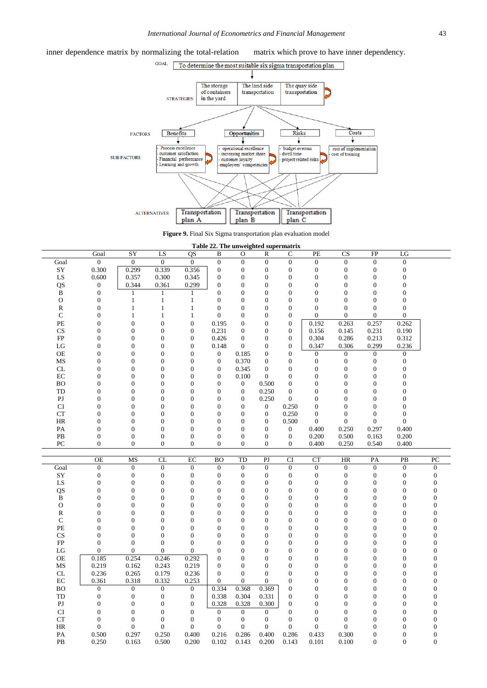

**Figure 9.** Final Six Sigma transportation plan evaluation model

<span id="page-9-0"></span>

| Table 22. The unweighted supermatrix |                                      |                                      |                                  |                           |                           |                           |                           |                           |                                      |                           |                                      |                                      |                                  |
|--------------------------------------|--------------------------------------|--------------------------------------|----------------------------------|---------------------------|---------------------------|---------------------------|---------------------------|---------------------------|--------------------------------------|---------------------------|--------------------------------------|--------------------------------------|----------------------------------|
|                                      | Goal                                 | SY                                   | LS                               | <b>OS</b>                 | B                         | $\circ$                   | $\mathbb R$               | C                         | $\overline{PE}$                      | $\overline{\text{CS}}$    | FP                                   | LG                                   |                                  |
| Goal                                 | $\overline{0}$                       | $\overline{0}$                       | $\boldsymbol{0}$                 | $\boldsymbol{0}$          | $\boldsymbol{0}$          | $\boldsymbol{0}$          | $\overline{0}$            | $\boldsymbol{0}$          | $\mathbf{0}$                         | $\mathbf{0}$              | $\boldsymbol{0}$                     | $\boldsymbol{0}$                     |                                  |
| SY                                   | 0.300                                | 0.299                                | 0.339                            | 0.356                     | $\boldsymbol{0}$          | $\boldsymbol{0}$          | $\mathbf{0}$              | $\boldsymbol{0}$          | $\boldsymbol{0}$                     | $\overline{0}$            | $\boldsymbol{0}$                     | $\boldsymbol{0}$                     |                                  |
| LS                                   | 0.600                                | 0.357                                | 0.300                            | 0.345                     | $\boldsymbol{0}$          | $\boldsymbol{0}$          | $\mathbf{0}$              | $\boldsymbol{0}$          | $\boldsymbol{0}$                     | $\boldsymbol{0}$          | $\boldsymbol{0}$                     | $\boldsymbol{0}$                     |                                  |
| QS                                   | $\boldsymbol{0}$                     | 0.344                                | 0.361                            | 0.299                     | $\boldsymbol{0}$          | $\boldsymbol{0}$          | $\boldsymbol{0}$          | $\boldsymbol{0}$          | $\boldsymbol{0}$                     | $\boldsymbol{0}$          | $\boldsymbol{0}$                     | $\boldsymbol{0}$                     |                                  |
| $\, {\bf B}$                         | $\boldsymbol{0}$                     | 1                                    | 1                                | 1                         | $\overline{0}$            | $\mathbf{0}$              | $\overline{0}$            | $\boldsymbol{0}$          | $\boldsymbol{0}$                     | $\boldsymbol{0}$          | $\boldsymbol{0}$                     | $\mathbf{0}$                         |                                  |
| O                                    | $\boldsymbol{0}$                     | $\mathbf{1}$                         | $\mathbf{1}$                     | $\mathbf{1}$              | $\boldsymbol{0}$          | $\mathbf{0}$              | $\mathbf{0}$              | $\boldsymbol{0}$          | $\boldsymbol{0}$                     | $\boldsymbol{0}$          | $\boldsymbol{0}$                     | $\boldsymbol{0}$                     |                                  |
| R                                    | $\overline{0}$                       | $\mathbf{1}$                         | $\mathbf{1}$                     | $\mathbf{1}$              | $\theta$                  | $\overline{0}$            | $\overline{0}$            | $\boldsymbol{0}$          | $\mathbf{0}$                         | $\boldsymbol{0}$          | $\overline{0}$                       | $\overline{0}$                       |                                  |
| $\mathbf C$                          | $\boldsymbol{0}$                     | $\mathbf{1}$                         | $\mathbf{1}$                     | $\mathbf{1}$              | $\boldsymbol{0}$          | $\mathbf{0}$              | $\mathbf{0}$              | $\boldsymbol{0}$          | $\boldsymbol{0}$                     | $\boldsymbol{0}$          | $\boldsymbol{0}$                     | $\boldsymbol{0}$                     |                                  |
| PE                                   | $\overline{0}$                       | $\boldsymbol{0}$                     | $\boldsymbol{0}$                 | $\boldsymbol{0}$          | 0.195                     | $\boldsymbol{0}$          | $\mathbf{0}$              | $\boldsymbol{0}$          | 0.192                                | 0.263                     | 0.257                                | 0.262                                |                                  |
| CS                                   | $\overline{0}$                       | $\overline{0}$                       | $\boldsymbol{0}$                 | $\boldsymbol{0}$          | 0.231                     | $\boldsymbol{0}$          | $\mathbf{0}$              | $\boldsymbol{0}$          | 0.156                                | 0.145                     | 0.231                                | 0.190                                |                                  |
| ${\rm FP}$                           | $\boldsymbol{0}$                     | $\boldsymbol{0}$                     | $\boldsymbol{0}$                 | $\boldsymbol{0}$          | 0.426                     | $\boldsymbol{0}$          | $\boldsymbol{0}$          | $\boldsymbol{0}$          | 0.304                                | 0.286                     | 0.213                                | 0.312                                |                                  |
| LG                                   | $\boldsymbol{0}$                     | $\boldsymbol{0}$                     | $\boldsymbol{0}$                 | $\boldsymbol{0}$          | 0.148                     | $\boldsymbol{0}$          | $\mathbf{0}$              | $\boldsymbol{0}$          | 0.347                                | 0.306                     | 0.299                                | 0.236                                |                                  |
| <b>OE</b>                            | $\boldsymbol{0}$                     | $\boldsymbol{0}$                     | $\boldsymbol{0}$                 | $\boldsymbol{0}$          | $\boldsymbol{0}$          | 0.185                     | $\mathbf{0}$              | $\boldsymbol{0}$          | $\mathbf{0}$                         | $\mathbf{0}$              | $\overline{0}$                       | $\overline{0}$                       |                                  |
| MS                                   | $\overline{0}$                       | $\overline{0}$                       | $\boldsymbol{0}$                 | $\boldsymbol{0}$          | $\boldsymbol{0}$          | 0.370                     | $\boldsymbol{0}$          | $\boldsymbol{0}$          | $\boldsymbol{0}$                     | $\boldsymbol{0}$          | $\boldsymbol{0}$                     | $\boldsymbol{0}$                     |                                  |
| ${\rm CL}$                           | $\boldsymbol{0}$                     | $\boldsymbol{0}$                     | $\boldsymbol{0}$                 | $\boldsymbol{0}$          | $\boldsymbol{0}$          | 0.345                     | $\boldsymbol{0}$          | $\boldsymbol{0}$          | $\boldsymbol{0}$                     | $\boldsymbol{0}$          | $\boldsymbol{0}$                     | $\boldsymbol{0}$                     |                                  |
| EC                                   | $\boldsymbol{0}$                     | $\boldsymbol{0}$                     | $\boldsymbol{0}$                 | $\boldsymbol{0}$          | $\boldsymbol{0}$          | 0.100                     | $\boldsymbol{0}$          | $\boldsymbol{0}$          | $\boldsymbol{0}$                     | $\boldsymbol{0}$          | $\boldsymbol{0}$                     | $\boldsymbol{0}$                     |                                  |
| <b>BO</b>                            | $\overline{0}$                       | $\overline{0}$                       | $\boldsymbol{0}$                 | $\boldsymbol{0}$          | $\overline{0}$            | $\boldsymbol{0}$          | 0.500                     | $\boldsymbol{0}$          | $\mathbf{0}$                         | $\boldsymbol{0}$          | $\boldsymbol{0}$                     | $\overline{0}$                       |                                  |
| TD                                   | $\overline{0}$                       | $\overline{0}$                       | $\boldsymbol{0}$                 | $\boldsymbol{0}$          | $\overline{0}$            | $\boldsymbol{0}$          | 0.250                     | $\overline{0}$            | $\mathbf{0}$                         | $\overline{0}$            | $\boldsymbol{0}$                     | $\overline{0}$                       |                                  |
| ${\bf PJ}$                           | $\boldsymbol{0}$                     | $\boldsymbol{0}$                     | $\boldsymbol{0}$                 | $\boldsymbol{0}$          | $\boldsymbol{0}$          | $\boldsymbol{0}$          | 0.250                     | $\boldsymbol{0}$          | $\boldsymbol{0}$                     | $\boldsymbol{0}$          | $\boldsymbol{0}$                     | $\overline{0}$                       |                                  |
| CI                                   | $\boldsymbol{0}$                     | $\boldsymbol{0}$                     | $\boldsymbol{0}$                 | $\boldsymbol{0}$          | $\boldsymbol{0}$          | $\boldsymbol{0}$          | $\boldsymbol{0}$          | 0.250                     | $\boldsymbol{0}$                     | $\boldsymbol{0}$          | $\boldsymbol{0}$                     | $\overline{0}$                       |                                  |
| CT                                   | $\overline{0}$                       | $\overline{0}$                       | $\boldsymbol{0}$                 | $\boldsymbol{0}$          | $\overline{0}$            | $\boldsymbol{0}$          | $\boldsymbol{0}$          | 0.250                     | $\boldsymbol{0}$                     | $\mathbf{0}$              | $\boldsymbol{0}$                     | $\mathbf{0}$                         |                                  |
| HR                                   | $\boldsymbol{0}$                     | $\overline{0}$                       | $\boldsymbol{0}$                 | $\boldsymbol{0}$          | $\overline{0}$            | $\mathbf{0}$              | $\overline{0}$            | 0.500                     | $\mathbf{0}$                         | $\mathbf{0}$              | $\boldsymbol{0}$                     | $\overline{0}$                       |                                  |
| PA                                   | $\boldsymbol{0}$                     | $\boldsymbol{0}$                     | $\boldsymbol{0}$                 | $\boldsymbol{0}$          | $\boldsymbol{0}$          | $\mathbf{0}$              | $\boldsymbol{0}$          | $\boldsymbol{0}$          | 0.400                                | 0.250                     | 0.297                                | 0.400                                |                                  |
| $\rm{PB}$                            | $\boldsymbol{0}$                     | $\boldsymbol{0}$                     | $\boldsymbol{0}$                 | $\boldsymbol{0}$          | $\boldsymbol{0}$          | $\boldsymbol{0}$          | $\boldsymbol{0}$          | $\boldsymbol{0}$          | 0.200                                | 0.500                     | 0.163                                | 0.200                                |                                  |
|                                      |                                      |                                      |                                  |                           |                           |                           |                           |                           |                                      |                           |                                      |                                      |                                  |
| PC                                   | $\boldsymbol{0}$                     | $\boldsymbol{0}$                     | $\boldsymbol{0}$                 | $\boldsymbol{0}$          | $\boldsymbol{0}$          | $\mathbf{0}$              | $\overline{0}$            | $\boldsymbol{0}$          | 0.400                                | 0.250                     | 0.540                                | 0.400                                |                                  |
|                                      |                                      |                                      |                                  |                           |                           |                           |                           |                           |                                      |                           |                                      |                                      |                                  |
|                                      | <b>OE</b>                            | MS                                   | CL                               | EC                        | <b>BO</b>                 | <b>TD</b>                 | PJ                        | <b>CI</b>                 | CT                                   | HR                        | PA                                   | PB                                   | PC                               |
| Goal                                 | $\mathbf{0}$                         | $\boldsymbol{0}$                     | $\boldsymbol{0}$                 | $\boldsymbol{0}$          | $\boldsymbol{0}$          | $\boldsymbol{0}$          | $\mathbf{0}$              | $\boldsymbol{0}$          | $\boldsymbol{0}$                     | $\boldsymbol{0}$          | $\boldsymbol{0}$                     | $\boldsymbol{0}$                     | $\boldsymbol{0}$                 |
| SY                                   | $\boldsymbol{0}$                     | $\boldsymbol{0}$                     | $\boldsymbol{0}$                 | $\boldsymbol{0}$          | $\overline{0}$            | $\boldsymbol{0}$          | $\overline{0}$            | $\boldsymbol{0}$          | $\boldsymbol{0}$                     | $\boldsymbol{0}$          | $\boldsymbol{0}$                     | $\boldsymbol{0}$                     | $\boldsymbol{0}$                 |
| LS                                   | $\boldsymbol{0}$                     | $\boldsymbol{0}$                     | $\boldsymbol{0}$                 | $\boldsymbol{0}$          | $\boldsymbol{0}$          | $\mathbf{0}$              | $\mathbf{0}$              | $\boldsymbol{0}$          | $\boldsymbol{0}$                     | $\boldsymbol{0}$          | $\boldsymbol{0}$                     | $\boldsymbol{0}$                     | $\boldsymbol{0}$                 |
| QS                                   | $\boldsymbol{0}$                     | $\boldsymbol{0}$                     | $\boldsymbol{0}$                 | $\boldsymbol{0}$          | 0                         | $\mathbf{0}$              | $\boldsymbol{0}$          | $\boldsymbol{0}$          | $\mathbf{0}$                         | $\boldsymbol{0}$          | $\boldsymbol{0}$                     | 0                                    | $\boldsymbol{0}$                 |
| $\, {\bf B}$                         | $\overline{0}$                       | $\overline{0}$                       | $\boldsymbol{0}$                 | $\boldsymbol{0}$          | $\overline{0}$            | $\overline{0}$            | $\overline{0}$            | $\boldsymbol{0}$          | $\boldsymbol{0}$                     | $\boldsymbol{0}$          | $\boldsymbol{0}$                     | $\boldsymbol{0}$                     | $\overline{0}$                   |
| O                                    | $\overline{0}$                       | $\overline{0}$                       | $\boldsymbol{0}$                 | $\boldsymbol{0}$          | $\overline{0}$            | $\boldsymbol{0}$          | $\overline{0}$            | $\boldsymbol{0}$          | $\boldsymbol{0}$                     | $\boldsymbol{0}$          | $\boldsymbol{0}$                     | $\boldsymbol{0}$                     | $\boldsymbol{0}$                 |
| $\mathbb R$                          | $\boldsymbol{0}$                     | $\overline{0}$                       | $\boldsymbol{0}$                 | $\boldsymbol{0}$          | $\overline{0}$            | $\mathbf{0}$              | $\mathbf{0}$              | $\boldsymbol{0}$          | $\boldsymbol{0}$                     | $\boldsymbol{0}$          | $\boldsymbol{0}$                     | $\boldsymbol{0}$                     | $\boldsymbol{0}$                 |
| $\mathbf C$                          | $\boldsymbol{0}$                     | $\boldsymbol{0}$                     | $\boldsymbol{0}$                 | $\boldsymbol{0}$          | $\mathbf{0}$              | $\mathbf{0}$              | $\mathbf{0}$              | $\boldsymbol{0}$          | $\boldsymbol{0}$                     | $\boldsymbol{0}$          | $\boldsymbol{0}$                     | $\boldsymbol{0}$                     | $\overline{0}$                   |
| $\rm PE$                             | $\overline{0}$                       | $\boldsymbol{0}$                     | $\boldsymbol{0}$                 | $\boldsymbol{0}$          | $\overline{0}$            | $\overline{0}$            | $\mathbf{0}$              | $\boldsymbol{0}$          | $\boldsymbol{0}$                     | $\boldsymbol{0}$          | $\boldsymbol{0}$                     | $\boldsymbol{0}$                     | $\boldsymbol{0}$                 |
| $\overline{\text{CS}}$               | $\boldsymbol{0}$                     | $\boldsymbol{0}$                     | $\boldsymbol{0}$                 | $\boldsymbol{0}$          | $\mathbf{0}$              | $\mathbf{0}$              | $\mathbf{0}$              | $\boldsymbol{0}$          | $\boldsymbol{0}$                     | $\boldsymbol{0}$          | $\boldsymbol{0}$                     | $\boldsymbol{0}$                     | $\boldsymbol{0}$                 |
| ${\rm FP}$                           | $\boldsymbol{0}$                     | $\boldsymbol{0}$                     | $\boldsymbol{0}$                 | $\boldsymbol{0}$          | $\boldsymbol{0}$          | $\mathbf{0}$              | $\mathbf{0}$              | $\boldsymbol{0}$          | $\boldsymbol{0}$                     | $\boldsymbol{0}$          | $\boldsymbol{0}$                     | $\boldsymbol{0}$                     | $\boldsymbol{0}$                 |
| $_{\rm LG}$                          | $\overline{0}$                       | $\overline{0}$                       | $\overline{0}$                   | $\boldsymbol{0}$          | $\overline{0}$            | $\overline{0}$            | $\mathbf{0}$              | $\boldsymbol{0}$          | $\boldsymbol{0}$                     | $\boldsymbol{0}$          | $\boldsymbol{0}$                     | $\boldsymbol{0}$                     | $\overline{0}$                   |
| <b>OE</b>                            | 0.185                                | 0.254                                | 0.246                            | 0.292                     | $\boldsymbol{0}$          | $\overline{0}$            | $\overline{0}$            | $\boldsymbol{0}$          | $\boldsymbol{0}$                     | $\boldsymbol{0}$          | $\boldsymbol{0}$                     | $\boldsymbol{0}$                     | $\boldsymbol{0}$                 |
|                                      | 0.219                                | 0.162                                | 0.243                            | 0.219                     | $\boldsymbol{0}$          | $\boldsymbol{0}$          | $\mathbf{0}$              | $\boldsymbol{0}$          | $\boldsymbol{0}$                     | $\boldsymbol{0}$          | $\boldsymbol{0}$                     | $\boldsymbol{0}$                     | $\boldsymbol{0}$                 |
| $\mathbf{M}\mathbf{S}$               |                                      |                                      |                                  |                           | $\boldsymbol{0}$          | $\boldsymbol{0}$          | $\boldsymbol{0}$          |                           | $\boldsymbol{0}$                     | $\boldsymbol{0}$          |                                      | $\boldsymbol{0}$                     |                                  |
| ${\rm CL}$                           | 0.236                                | 0.265                                | 0.179                            | 0.236                     | $\boldsymbol{0}$          | $\boldsymbol{0}$          | $\boldsymbol{0}$          | $\boldsymbol{0}$          | $\boldsymbol{0}$                     |                           | $\boldsymbol{0}$<br>$\boldsymbol{0}$ | $\boldsymbol{0}$                     | $\boldsymbol{0}$                 |
| EC                                   | 0.361                                | 0.318                                | 0.332                            | 0.253                     |                           |                           |                           | $\boldsymbol{0}$          |                                      | $\boldsymbol{0}$          |                                      |                                      | $\boldsymbol{0}$                 |
| <b>BO</b>                            | $\boldsymbol{0}$                     | $\overline{0}$                       | $\overline{0}$                   | $\boldsymbol{0}$          | 0.334                     | 0.368                     | 0.369                     | $\boldsymbol{0}$          | $\mathbf{0}$                         | $\boldsymbol{0}$          | $\boldsymbol{0}$                     | $\overline{0}$                       | $\boldsymbol{0}$                 |
| <b>TD</b>                            | $\boldsymbol{0}$<br>$\boldsymbol{0}$ | $\boldsymbol{0}$<br>$\boldsymbol{0}$ | $\boldsymbol{0}$<br>$\mathbf{0}$ | $\boldsymbol{0}$          | 0.338                     | 0.304                     | 0.331                     | $\boldsymbol{0}$          | $\boldsymbol{0}$<br>$\boldsymbol{0}$ | $\boldsymbol{0}$          | $\boldsymbol{0}$<br>$\boldsymbol{0}$ | $\boldsymbol{0}$<br>$\boldsymbol{0}$ | $\overline{0}$<br>$\overline{0}$ |
| $\mathbf{P}\mathbf{J}$               |                                      |                                      |                                  | $\boldsymbol{0}$          | 0.328                     | 0.328                     | 0.300<br>$\Omega$         | $\boldsymbol{0}$          |                                      | $\boldsymbol{0}$          |                                      |                                      |                                  |
| CI                                   | $\overline{0}$                       | $\overline{0}$                       | $\boldsymbol{0}$                 | $\boldsymbol{0}$          | $\overline{0}$            | $\overline{0}$            |                           | $\boldsymbol{0}$          | $\mathbf{0}$                         | $\boldsymbol{0}$          | $\boldsymbol{0}$                     | $\boldsymbol{0}$                     | $\mathbf{0}$                     |
| <b>CT</b>                            | $\boldsymbol{0}$                     | $\boldsymbol{0}$                     | $\boldsymbol{0}$                 | $\boldsymbol{0}$          | $\boldsymbol{0}$          | $\boldsymbol{0}$          | $\boldsymbol{0}$          | $\boldsymbol{0}$          | $\boldsymbol{0}$                     | $\boldsymbol{0}$          | $\boldsymbol{0}$                     | $\boldsymbol{0}$                     | $\boldsymbol{0}$                 |
| $\rm{HR}$<br>PA                      | $\boldsymbol{0}$<br>0.500            | $\boldsymbol{0}$<br>0.297            | $\boldsymbol{0}$<br>0.250        | $\boldsymbol{0}$<br>0.400 | $\boldsymbol{0}$<br>0.216 | $\boldsymbol{0}$<br>0.286 | $\boldsymbol{0}$<br>0.400 | $\boldsymbol{0}$<br>0.286 | $\boldsymbol{0}$<br>0.433            | $\boldsymbol{0}$<br>0.300 | $\boldsymbol{0}$<br>$\boldsymbol{0}$ | $\boldsymbol{0}$<br>$\boldsymbol{0}$ | $\boldsymbol{0}$<br>$\mathbf{0}$ |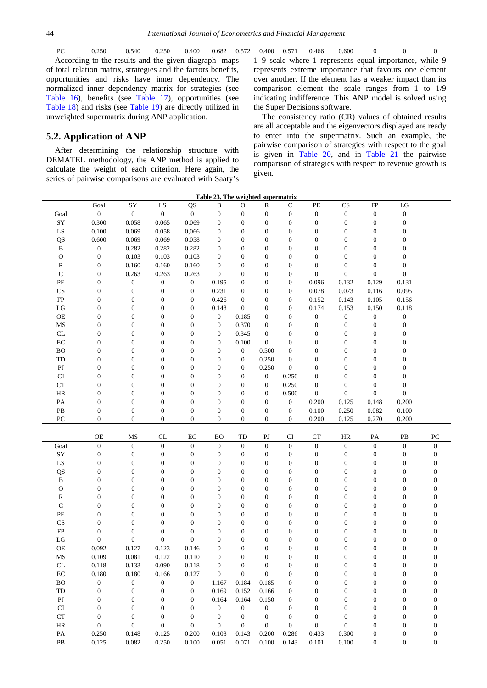PC 0.250 0.540 0.250 0.400 0.682 0.572 0.400 0.571 0.466 0.600 0 0 0 0 0 According to the results and the given diagraph- maps of total relation matrix, strategies and the factors benefits, opportunities and risks have inner dependency. The normalized inner dependency matrix for strategies (see [Table 16\)](#page-8-3), benefits (see [Table 17\)](#page-8-4), opportunities (see [Table 18\)](#page-8-5) and risks (see [Table 19\)](#page-8-6) are directly utilized in unweighted supermatrix during ANP application.

## **5.2. Application of ANP**

After determining the relationship structure with DEMATEL methodology, the ANP method is applied to calculate the weight of each criterion. Here again, the series of pairwise comparisons are evaluated with Saaty's 1–9 scale where 1 represents equal importance, while 9 represents extreme importance that favours one element over another. If the element has a weaker impact than its comparison element the scale ranges from 1 to 1/9 indicating indifference. This ANP model is solved using the Super Decisions software.

The consistency ratio (CR) values of obtained results are all acceptable and the eigenvectors displayed are ready to enter into the supermatrix. Such an example, the pairwise comparison of strategies with respect to the goal is given in [Table 20,](#page-8-7) and in [Table 21](#page-8-8) the pairwise comparison of strategies with respect to revenue growth is given.

**Table 23. The weighted supermatrix**

<span id="page-10-0"></span>

|                                   | Goal             | SY               | LS               | QS               | B                | $\mathbf{O}$     | R                | C                | PE               | <b>CS</b>        | FP               | LG               |                  |
|-----------------------------------|------------------|------------------|------------------|------------------|------------------|------------------|------------------|------------------|------------------|------------------|------------------|------------------|------------------|
| Goal                              | $\boldsymbol{0}$ | $\mathbf{0}$     | $\mathbf{0}$     | $\boldsymbol{0}$ | $\boldsymbol{0}$ | $\boldsymbol{0}$ | $\overline{0}$   | $\boldsymbol{0}$ | $\mathbf{0}$     | $\boldsymbol{0}$ | $\boldsymbol{0}$ | $\boldsymbol{0}$ |                  |
| ${\rm SY}$                        | 0.300            | 0.058            | 0.065            | 0.069            | $\boldsymbol{0}$ | $\boldsymbol{0}$ | $\boldsymbol{0}$ | $\boldsymbol{0}$ | $\boldsymbol{0}$ | $\boldsymbol{0}$ | $\boldsymbol{0}$ | $\boldsymbol{0}$ |                  |
| LS                                | 0.100            | 0.069            | 0.058            | 0,066            | $\boldsymbol{0}$ | $\mathbf{0}$     | $\boldsymbol{0}$ | $\boldsymbol{0}$ | $\boldsymbol{0}$ | $\boldsymbol{0}$ | $\boldsymbol{0}$ | $\boldsymbol{0}$ |                  |
| QS                                | 0.600            | 0.069            | 0.069            | 0.058            | $\boldsymbol{0}$ | $\mathbf{0}$     | $\overline{0}$   | $\boldsymbol{0}$ | $\boldsymbol{0}$ | $\boldsymbol{0}$ | $\boldsymbol{0}$ | $\boldsymbol{0}$ |                  |
| $\, {\bf B}$                      | $\boldsymbol{0}$ | 0.282            | 0.282            | 0.282            | $\boldsymbol{0}$ | $\boldsymbol{0}$ | $\boldsymbol{0}$ | $\boldsymbol{0}$ | $\boldsymbol{0}$ | $\boldsymbol{0}$ | $\boldsymbol{0}$ | $\boldsymbol{0}$ |                  |
| $\mathbf O$                       | $\boldsymbol{0}$ | 0.103            | 0.103            | 0.103            | $\boldsymbol{0}$ | $\mathbf{0}$     | $\boldsymbol{0}$ | $\boldsymbol{0}$ | $\boldsymbol{0}$ | $\boldsymbol{0}$ | $\boldsymbol{0}$ | $\boldsymbol{0}$ |                  |
| ${\bf R}$                         | $\boldsymbol{0}$ | 0.160            | 0.160            | 0.160            | $\boldsymbol{0}$ | $\mathbf{0}$     | $\boldsymbol{0}$ | $\boldsymbol{0}$ | $\boldsymbol{0}$ | $\boldsymbol{0}$ | $\boldsymbol{0}$ | $\boldsymbol{0}$ |                  |
| $\mathsf C$                       | $\boldsymbol{0}$ | 0.263            | 0.263            | 0.263            | $\boldsymbol{0}$ | $\mathbf{0}$     | $\overline{0}$   | $\boldsymbol{0}$ | $\boldsymbol{0}$ | $\boldsymbol{0}$ | $\boldsymbol{0}$ | $\boldsymbol{0}$ |                  |
| PE                                | $\boldsymbol{0}$ | $\boldsymbol{0}$ | $\boldsymbol{0}$ | $\boldsymbol{0}$ | 0.195            | $\mathbf{0}$     | $\boldsymbol{0}$ | $\boldsymbol{0}$ | 0.096            | 0.132            | 0.129            | 0.131            |                  |
| CS                                | $\boldsymbol{0}$ | $\boldsymbol{0}$ | $\boldsymbol{0}$ | $\boldsymbol{0}$ | 0.231            | $\boldsymbol{0}$ | $\boldsymbol{0}$ | $\boldsymbol{0}$ | 0.078            | 0.073            | 0.116            | 0.095            |                  |
| ${\rm FP}$                        | $\boldsymbol{0}$ | $\boldsymbol{0}$ | $\boldsymbol{0}$ | $\boldsymbol{0}$ | 0.426            | $\boldsymbol{0}$ | $\boldsymbol{0}$ | $\boldsymbol{0}$ | 0.152            | 0.143            | 0.105            | 0.156            |                  |
| ${\rm LG}$                        | $\boldsymbol{0}$ | $\boldsymbol{0}$ | $\boldsymbol{0}$ | $\boldsymbol{0}$ | 0.148            | $\mathbf{0}$     | 0                | $\boldsymbol{0}$ | 0.174            | 0.153            | 0.150            | 0.118            |                  |
| $\!$ OE                           | $\boldsymbol{0}$ | $\boldsymbol{0}$ | $\boldsymbol{0}$ | $\boldsymbol{0}$ | $\boldsymbol{0}$ | 0.185            | $\boldsymbol{0}$ | $\boldsymbol{0}$ | $\boldsymbol{0}$ | $\boldsymbol{0}$ | $\boldsymbol{0}$ | $\boldsymbol{0}$ |                  |
| $\mathbf{M}\mathbf{S}$            | $\boldsymbol{0}$ | $\boldsymbol{0}$ | $\boldsymbol{0}$ | $\boldsymbol{0}$ | $\boldsymbol{0}$ | 0.370            | $\boldsymbol{0}$ | $\boldsymbol{0}$ | $\boldsymbol{0}$ | $\boldsymbol{0}$ | $\boldsymbol{0}$ | $\boldsymbol{0}$ |                  |
| $\ensuremath{\mathrm{CL}}\xspace$ | $\boldsymbol{0}$ | $\boldsymbol{0}$ | $\boldsymbol{0}$ | $\boldsymbol{0}$ | $\boldsymbol{0}$ | 0.345            | $\boldsymbol{0}$ | $\boldsymbol{0}$ | $\boldsymbol{0}$ | $\boldsymbol{0}$ | $\boldsymbol{0}$ | $\boldsymbol{0}$ |                  |
| $\rm EC$                          | $\boldsymbol{0}$ | $\overline{0}$   | $\boldsymbol{0}$ | $\boldsymbol{0}$ | $\boldsymbol{0}$ | 0.100            | $\boldsymbol{0}$ | $\boldsymbol{0}$ | $\boldsymbol{0}$ | $\boldsymbol{0}$ | $\boldsymbol{0}$ | $\boldsymbol{0}$ |                  |
| ${\rm BO}$                        | $\boldsymbol{0}$ | $\boldsymbol{0}$ | $\boldsymbol{0}$ | $\boldsymbol{0}$ | $\boldsymbol{0}$ | $\boldsymbol{0}$ | 0.500            | $\boldsymbol{0}$ | $\boldsymbol{0}$ | $\boldsymbol{0}$ | $\boldsymbol{0}$ | $\boldsymbol{0}$ |                  |
| $\operatorname{TD}$               | $\boldsymbol{0}$ | $\boldsymbol{0}$ | $\boldsymbol{0}$ | $\boldsymbol{0}$ | $\boldsymbol{0}$ | $\boldsymbol{0}$ | 0.250            | $\boldsymbol{0}$ | $\boldsymbol{0}$ | $\boldsymbol{0}$ | $\boldsymbol{0}$ | $\boldsymbol{0}$ |                  |
| $\mathop{\rm PJ}$                 | $\boldsymbol{0}$ | $\boldsymbol{0}$ | $\boldsymbol{0}$ | $\boldsymbol{0}$ | $\boldsymbol{0}$ | $\mathbf{0}$     | 0.250            | $\boldsymbol{0}$ | $\boldsymbol{0}$ | $\boldsymbol{0}$ | $\boldsymbol{0}$ | $\boldsymbol{0}$ |                  |
| $\mathop{\rm CI}\nolimits$        | $\boldsymbol{0}$ | $\overline{0}$   | $\mathbf{0}$     | $\boldsymbol{0}$ | $\boldsymbol{0}$ | $\boldsymbol{0}$ | $\boldsymbol{0}$ | 0.250            | $\boldsymbol{0}$ | $\boldsymbol{0}$ | $\boldsymbol{0}$ | $\boldsymbol{0}$ |                  |
| ${\cal C}{\cal T}$                | $\boldsymbol{0}$ | $\overline{0}$   | $\boldsymbol{0}$ | $\boldsymbol{0}$ | $\boldsymbol{0}$ | $\boldsymbol{0}$ | $\boldsymbol{0}$ | 0.250            | $\boldsymbol{0}$ | $\boldsymbol{0}$ | $\boldsymbol{0}$ | $\boldsymbol{0}$ |                  |
| $\rm{HR}$                         | $\boldsymbol{0}$ | $\overline{0}$   | $\boldsymbol{0}$ | $\boldsymbol{0}$ | $\boldsymbol{0}$ | $\mathbf{0}$     | $\boldsymbol{0}$ | 0.500            | $\mathbf{0}$     | $\boldsymbol{0}$ | $\boldsymbol{0}$ | $\boldsymbol{0}$ |                  |
| $\mathbf{PA}$                     | $\boldsymbol{0}$ | $\boldsymbol{0}$ | $\boldsymbol{0}$ | $\boldsymbol{0}$ | $\boldsymbol{0}$ | $\mathbf{0}$     | $\boldsymbol{0}$ | $\boldsymbol{0}$ | 0.200            | 0.125            | 0.148            | 0.200            |                  |
| $\mathbf{PB}$                     | $\boldsymbol{0}$ | $\boldsymbol{0}$ | $\boldsymbol{0}$ | $\boldsymbol{0}$ | $\boldsymbol{0}$ | $\boldsymbol{0}$ | $\boldsymbol{0}$ | $\boldsymbol{0}$ | $0.100\,$        | 0.250            | 0.082            | 0.100            |                  |
| ${\rm P}{\bf C}$                  | $\boldsymbol{0}$ | $\boldsymbol{0}$ | $\boldsymbol{0}$ | $\boldsymbol{0}$ | $\boldsymbol{0}$ | $\boldsymbol{0}$ | $\boldsymbol{0}$ | $\boldsymbol{0}$ | 0.200            | 0.125            | 0.270            | 0.200            |                  |
|                                   |                  |                  |                  |                  |                  |                  |                  |                  |                  |                  |                  |                  |                  |
|                                   | <b>OE</b>        | MS               | CL               | $\rm EC$         | <b>BO</b>        | <b>TD</b>        | PJ               | CI               | CT               | <b>HR</b>        | PA               | PB               | PC               |
| Goal                              | $\boldsymbol{0}$ | $\boldsymbol{0}$ | $\boldsymbol{0}$ | $\boldsymbol{0}$ | $\boldsymbol{0}$ | $\mathbf{0}$     | $\overline{0}$   | $\boldsymbol{0}$ | $\boldsymbol{0}$ | $\boldsymbol{0}$ | $\boldsymbol{0}$ | $\boldsymbol{0}$ | $\boldsymbol{0}$ |
| ${\rm SY}$                        | $\boldsymbol{0}$ | $\boldsymbol{0}$ | $\boldsymbol{0}$ | $\boldsymbol{0}$ | $\boldsymbol{0}$ | $\boldsymbol{0}$ | $\boldsymbol{0}$ | $\boldsymbol{0}$ | $\boldsymbol{0}$ | $\boldsymbol{0}$ | $\boldsymbol{0}$ | $\boldsymbol{0}$ | $\boldsymbol{0}$ |
| LS                                | $\boldsymbol{0}$ | $\boldsymbol{0}$ | $\boldsymbol{0}$ | $\boldsymbol{0}$ | $\boldsymbol{0}$ | $\boldsymbol{0}$ | $\boldsymbol{0}$ | $\boldsymbol{0}$ | $\boldsymbol{0}$ | $\boldsymbol{0}$ | $\boldsymbol{0}$ | $\boldsymbol{0}$ | $\boldsymbol{0}$ |
| QS                                | $\boldsymbol{0}$ | $\boldsymbol{0}$ | $\boldsymbol{0}$ | $\boldsymbol{0}$ | $\boldsymbol{0}$ | $\boldsymbol{0}$ | $\boldsymbol{0}$ | $\boldsymbol{0}$ | $\boldsymbol{0}$ | $\boldsymbol{0}$ | $\boldsymbol{0}$ | $\boldsymbol{0}$ | $\boldsymbol{0}$ |
| $\, {\bf B}$                      | $\boldsymbol{0}$ | $\boldsymbol{0}$ | $\boldsymbol{0}$ | $\boldsymbol{0}$ | $\boldsymbol{0}$ | $\boldsymbol{0}$ | $\overline{0}$   | $\boldsymbol{0}$ | $\boldsymbol{0}$ | $\boldsymbol{0}$ | $\boldsymbol{0}$ | $\boldsymbol{0}$ | $\boldsymbol{0}$ |
| $\mathbf O$                       | $\boldsymbol{0}$ | $\overline{0}$   | $\boldsymbol{0}$ | $\boldsymbol{0}$ | $\boldsymbol{0}$ | $\boldsymbol{0}$ | $\overline{0}$   | $\boldsymbol{0}$ | $\boldsymbol{0}$ | $\boldsymbol{0}$ | $\boldsymbol{0}$ | $\boldsymbol{0}$ | $\boldsymbol{0}$ |
| ${\bf R}$                         | $\boldsymbol{0}$ | $\boldsymbol{0}$ | $\boldsymbol{0}$ | $\boldsymbol{0}$ | $\boldsymbol{0}$ | $\mathbf{0}$     | $\boldsymbol{0}$ | $\boldsymbol{0}$ | $\boldsymbol{0}$ | $\boldsymbol{0}$ | $\boldsymbol{0}$ | $\boldsymbol{0}$ | $\boldsymbol{0}$ |
| $\mathbf C$                       | $\boldsymbol{0}$ | $\boldsymbol{0}$ | $\boldsymbol{0}$ | $\boldsymbol{0}$ | $\boldsymbol{0}$ | $\mathbf{0}$     | $\boldsymbol{0}$ | $\boldsymbol{0}$ | $\boldsymbol{0}$ | $\boldsymbol{0}$ | $\boldsymbol{0}$ | $\boldsymbol{0}$ | $\boldsymbol{0}$ |
| PE                                | $\boldsymbol{0}$ | $\boldsymbol{0}$ | $\boldsymbol{0}$ | $\boldsymbol{0}$ | $\boldsymbol{0}$ | $\mathbf{0}$     | $\overline{0}$   | $\boldsymbol{0}$ | $\boldsymbol{0}$ | $\boldsymbol{0}$ | $\boldsymbol{0}$ | $\boldsymbol{0}$ | $\boldsymbol{0}$ |
| $\mathbf{C}\mathbf{S}$            | $\boldsymbol{0}$ | $\boldsymbol{0}$ | $\boldsymbol{0}$ | $\boldsymbol{0}$ | $\boldsymbol{0}$ | $\mathbf{0}$     | $\boldsymbol{0}$ | $\boldsymbol{0}$ | $\boldsymbol{0}$ | $\boldsymbol{0}$ | $\boldsymbol{0}$ | $\boldsymbol{0}$ | $\boldsymbol{0}$ |
| ${\rm FP}$                        | $\boldsymbol{0}$ | $\boldsymbol{0}$ | $\boldsymbol{0}$ | $\boldsymbol{0}$ | $\boldsymbol{0}$ | $\mathbf{0}$     | $\boldsymbol{0}$ | $\boldsymbol{0}$ | $\boldsymbol{0}$ | $\boldsymbol{0}$ | $\boldsymbol{0}$ | $\boldsymbol{0}$ | $\boldsymbol{0}$ |
| ${\rm LG}$                        | $\overline{0}$   | $\overline{0}$   | $\mathbf{0}$     | $\boldsymbol{0}$ | $\boldsymbol{0}$ | $\mathbf{0}$     | $\boldsymbol{0}$ | $\boldsymbol{0}$ | $\boldsymbol{0}$ | $\boldsymbol{0}$ | $\boldsymbol{0}$ | $\boldsymbol{0}$ | $\boldsymbol{0}$ |
| $\!$ OE                           | 0.092            | 0.127            | 0.123            | 0.146            | 0                | $\boldsymbol{0}$ | $\overline{0}$   | $\boldsymbol{0}$ | $\boldsymbol{0}$ | $\boldsymbol{0}$ | $\boldsymbol{0}$ | $\boldsymbol{0}$ | $\boldsymbol{0}$ |
| $\mathbf{M}\mathbf{S}$            | 0.109            | 0.081            | 0.122            | 0.110            | 0                | $\boldsymbol{0}$ | $\boldsymbol{0}$ | $\boldsymbol{0}$ | $\boldsymbol{0}$ | $\mathbf{0}$     | $\boldsymbol{0}$ | $\boldsymbol{0}$ | $\boldsymbol{0}$ |
| ${\rm CL}$                        | 0.118            | 0.133            | 0.090            | 0.118            | $\boldsymbol{0}$ | $\boldsymbol{0}$ | $\boldsymbol{0}$ | $\boldsymbol{0}$ | $\boldsymbol{0}$ | $\boldsymbol{0}$ | $\boldsymbol{0}$ | $\boldsymbol{0}$ | $\boldsymbol{0}$ |
| $\rm EC$                          | 0.180            | 0.180            | 0.166            | 0.127            | $\boldsymbol{0}$ | $\boldsymbol{0}$ | $\boldsymbol{0}$ | $\boldsymbol{0}$ | 0                | $\mathbf{0}$     | $\boldsymbol{0}$ | $\boldsymbol{0}$ | $\overline{0}$   |
| ${\rm BO}$                        | $\boldsymbol{0}$ | $\boldsymbol{0}$ | $\boldsymbol{0}$ | $\boldsymbol{0}$ | 1.167            | 0.184            | 0.185            | $\boldsymbol{0}$ | $\boldsymbol{0}$ | 0                | $\boldsymbol{0}$ | $\boldsymbol{0}$ | $\overline{0}$   |
| ${\rm TD}$                        |                  |                  |                  |                  |                  |                  | 0.166            | $\boldsymbol{0}$ | $\boldsymbol{0}$ | 0                | $\boldsymbol{0}$ | $\boldsymbol{0}$ | $\boldsymbol{0}$ |
| PJ                                | $\boldsymbol{0}$ | $\boldsymbol{0}$ | $\boldsymbol{0}$ | $\boldsymbol{0}$ | 0.169            | 0.152            |                  |                  |                  |                  |                  |                  |                  |
| CI                                | $\boldsymbol{0}$ | $\boldsymbol{0}$ | $\boldsymbol{0}$ | $\boldsymbol{0}$ | 0.164            | 0.164            | 0.150            | $\boldsymbol{0}$ | $\boldsymbol{0}$ | 0                | $\boldsymbol{0}$ | $\boldsymbol{0}$ | $\boldsymbol{0}$ |
|                                   | $\boldsymbol{0}$ | $\boldsymbol{0}$ | $\boldsymbol{0}$ | $\boldsymbol{0}$ | $\boldsymbol{0}$ | $\mathbf{0}$     | $\mathbf{0}$     | $\boldsymbol{0}$ | $\boldsymbol{0}$ | 0                | $\boldsymbol{0}$ | $\boldsymbol{0}$ | $\mathbf{0}$     |
| ${\cal C}{\cal T}$                | $\boldsymbol{0}$ | $\overline{0}$   | $\boldsymbol{0}$ | $\boldsymbol{0}$ | $\boldsymbol{0}$ | $\mathbf{0}$     | $\mathbf{0}$     | $\boldsymbol{0}$ | $\boldsymbol{0}$ | 0                | $\mathbf{0}$     | $\boldsymbol{0}$ | $\mathbf{0}$     |
| $\rm{HR}$                         | $\boldsymbol{0}$ | $\boldsymbol{0}$ | $\boldsymbol{0}$ | $\boldsymbol{0}$ | $\mathbf{0}$     | $\boldsymbol{0}$ | $\mathbf{0}$     | $\boldsymbol{0}$ | $\boldsymbol{0}$ | $\boldsymbol{0}$ | $\boldsymbol{0}$ | $\boldsymbol{0}$ | 0                |
| $\mathbf{PA}$                     | 0.250            | 0.148            | 0.125            | 0.200            | 0.108            | 0.143            | 0.200            | 0.286            | 0.433            | 0.300            | $\boldsymbol{0}$ | $\boldsymbol{0}$ | $\boldsymbol{0}$ |
| $\mathbf{PB}$                     | 0.125            | 0.082            | 0.250            | 0.100            | 0.051            | 0.071            | 0.100            | 0.143            | 0.101            | 0.100            | $\boldsymbol{0}$ | $\boldsymbol{0}$ | $\boldsymbol{0}$ |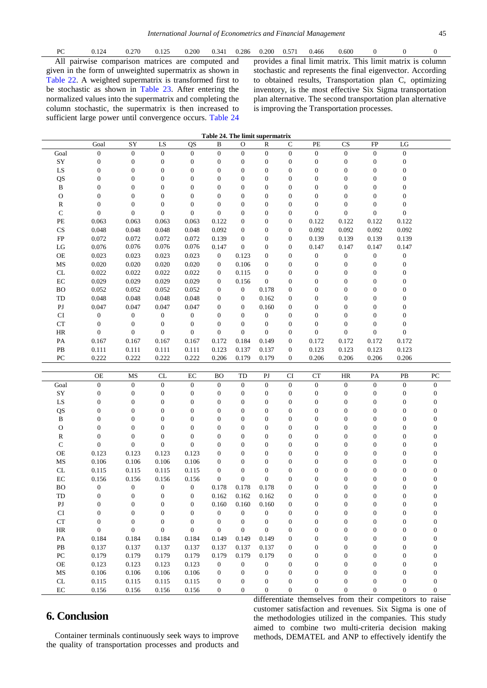PC 0.124 0.270 0.125 0.200 0.341 0.286 0.200 0.571 0.466 0.600 0 0 0 0 All pairwise comparison matrices are computed and given in the form of unweighted supermatrix as shown in [Table 22.](#page-9-0) A weighted supermatrix is transformed first to be stochastic as shown in [Table 23.](#page-10-0) After entering the normalized values into the supermatrix and completing the column stochastic, the supermatrix is then increased to sufficient large power until convergence occurs. [Table 24](#page-11-0)

provides a final limit matrix. This limit matrix is column stochastic and represents the final eigenvector. According to obtained results, Transportation plan C, optimizing inventory, is the most effective Six Sigma transportation plan alternative. The second transportation plan alternative is improving the Transportation processes.

| Table 24. The limit supermatrix |  |  |
|---------------------------------|--|--|
|---------------------------------|--|--|

<span id="page-11-0"></span>

|                                               | Goal             | SY               | LS               | QS               | $\, {\bf B}$          | $\mathbf O$                          | ${\bf R}$                            | $\mathsf C$                          | $\rm PE$                             | $\mathbf{C}\mathbf{S}$               | FP                                   | LG                                   |                              |
|-----------------------------------------------|------------------|------------------|------------------|------------------|-----------------------|--------------------------------------|--------------------------------------|--------------------------------------|--------------------------------------|--------------------------------------|--------------------------------------|--------------------------------------|------------------------------|
| Goal                                          | $\boldsymbol{0}$ | $\boldsymbol{0}$ | $\overline{0}$   | $\overline{0}$   | $\overline{0}$        | $\overline{0}$                       | $\overline{0}$                       | $\overline{0}$                       | $\overline{0}$                       | $\mathbf{0}$                         | $\overline{0}$                       | $\boldsymbol{0}$                     |                              |
| ${\rm SY}$                                    | $\boldsymbol{0}$ | $\boldsymbol{0}$ | $\boldsymbol{0}$ | $\boldsymbol{0}$ | $\boldsymbol{0}$      | $\boldsymbol{0}$                     | $\boldsymbol{0}$                     | $\boldsymbol{0}$                     | $\boldsymbol{0}$                     | $\boldsymbol{0}$                     | $\boldsymbol{0}$                     | $\boldsymbol{0}$                     |                              |
| ${\rm LS}$                                    | $\boldsymbol{0}$ | $\boldsymbol{0}$ | $\boldsymbol{0}$ | $\boldsymbol{0}$ | $\boldsymbol{0}$      | $\boldsymbol{0}$                     | $\overline{0}$                       | $\boldsymbol{0}$                     | $\boldsymbol{0}$                     | $\boldsymbol{0}$                     | $\mathbf{0}$                         | $\boldsymbol{0}$                     |                              |
| QS                                            | $\boldsymbol{0}$ | $\boldsymbol{0}$ | $\boldsymbol{0}$ | $\boldsymbol{0}$ | $\boldsymbol{0}$      | $\boldsymbol{0}$                     | $\boldsymbol{0}$                     | $\boldsymbol{0}$                     | $\boldsymbol{0}$                     | $\boldsymbol{0}$                     | $\boldsymbol{0}$                     | $\boldsymbol{0}$                     |                              |
| B                                             | $\boldsymbol{0}$ | $\boldsymbol{0}$ | $\boldsymbol{0}$ | $\boldsymbol{0}$ | $\boldsymbol{0}$      | $\boldsymbol{0}$                     | $\boldsymbol{0}$                     | $\boldsymbol{0}$                     | $\boldsymbol{0}$                     | $\boldsymbol{0}$                     | $\boldsymbol{0}$                     | $\boldsymbol{0}$                     |                              |
| $\rm{O}$                                      | $\boldsymbol{0}$ | $\overline{0}$   | $\boldsymbol{0}$ | $\boldsymbol{0}$ | $\boldsymbol{0}$      | $\mathbf{0}$                         | $\overline{0}$                       | $\boldsymbol{0}$                     | $\boldsymbol{0}$                     | $\boldsymbol{0}$                     | $\overline{0}$                       | $\boldsymbol{0}$                     |                              |
| ${\mathbb R}$                                 | $\boldsymbol{0}$ | $\boldsymbol{0}$ | $\boldsymbol{0}$ | $\boldsymbol{0}$ | $\boldsymbol{0}$      | $\mathbf{0}$                         | $\overline{0}$                       | $\boldsymbol{0}$                     | $\boldsymbol{0}$                     | $\boldsymbol{0}$                     | $\overline{0}$                       | $\boldsymbol{0}$                     |                              |
| ${\bf C}$                                     | $\boldsymbol{0}$ | $\mathbf{0}$     | $\boldsymbol{0}$ | $\boldsymbol{0}$ | $\boldsymbol{0}$      | $\boldsymbol{0}$                     | $\boldsymbol{0}$                     | $\boldsymbol{0}$                     | $\boldsymbol{0}$                     | $\boldsymbol{0}$                     | $\mathbf{0}$                         | $\boldsymbol{0}$                     |                              |
| $\rm PE$                                      | 0.063            | 0.063            | 0.063            | 0.063            | 0.122                 | $\boldsymbol{0}$                     | $\boldsymbol{0}$                     | $\boldsymbol{0}$                     | 0.122                                | 0.122                                | 0.122                                | 0.122                                |                              |
| CS                                            | 0.048            | 0.048            | 0.048            | 0.048            | 0.092                 | $\boldsymbol{0}$                     | $\mathbf{0}$                         | $\boldsymbol{0}$                     | 0.092                                | 0.092                                | 0.092                                | 0.092                                |                              |
| ${\rm FP}$                                    | 0.072            | 0.072            | 0.072            | 0.072            | 0.139                 | $\boldsymbol{0}$                     | $\boldsymbol{0}$                     | $\boldsymbol{0}$                     | 0.139                                | 0.139                                | 0.139                                | 0.139                                |                              |
| ${\rm LG}$                                    | 0.076            | 0.076            | 0.076            | 0.076            | 0.147                 | $\boldsymbol{0}$                     | $\boldsymbol{0}$                     | $\boldsymbol{0}$                     | 0.147                                | 0.147                                | 0.147                                | 0.147                                |                              |
| $\!$ OE                                       | 0.023            | 0.023            | 0.023            | 0.023            | $\mathbf{0}$          | 0.123                                | $\boldsymbol{0}$                     | $\boldsymbol{0}$                     | $\boldsymbol{0}$                     | $\boldsymbol{0}$                     | $\mathbf{0}$                         | $\boldsymbol{0}$                     |                              |
| $\mathbf{M}\mathbf{S}$                        | 0.020            | 0.020            | 0.020            | 0.020            | $\boldsymbol{0}$      | 0.106                                | $\boldsymbol{0}$                     | $\boldsymbol{0}$                     | $\boldsymbol{0}$                     | $\boldsymbol{0}$                     | $\mathbf{0}$                         | $\boldsymbol{0}$                     |                              |
| $\ensuremath{\mathrm{CL}}\xspace$             | 0.022            | 0.022            | 0.022            | 0.022            | $\boldsymbol{0}$      | 0.115                                | $\boldsymbol{0}$                     | $\boldsymbol{0}$                     | $\boldsymbol{0}$                     | $\boldsymbol{0}$                     | $\boldsymbol{0}$                     | $\boldsymbol{0}$                     |                              |
| $\rm EC$                                      | 0.029            | 0.029            | 0.029            | 0.029            | $\boldsymbol{0}$      | 0.156                                | $\boldsymbol{0}$                     | $\boldsymbol{0}$                     | $\boldsymbol{0}$                     | $\boldsymbol{0}$                     | $\boldsymbol{0}$                     | $\boldsymbol{0}$                     |                              |
| ${\rm BO}$                                    | 0.052            | 0.052            | 0.052            | 0.052            | $\boldsymbol{0}$      | $\boldsymbol{0}$                     | 0.178                                | $\boldsymbol{0}$                     | $\boldsymbol{0}$                     | $\boldsymbol{0}$                     | $\boldsymbol{0}$                     | $\boldsymbol{0}$                     |                              |
| ${\rm TD}$                                    | 0.048            | 0.048            | 0.048            | 0.048            | $\boldsymbol{0}$      | $\boldsymbol{0}$                     | 0.162                                | $\boldsymbol{0}$                     | $\boldsymbol{0}$                     | $\boldsymbol{0}$                     | $\theta$                             | $\boldsymbol{0}$                     |                              |
| ${\bf PJ}$                                    | 0.047            | 0.047            | 0.047            | 0.047            | $\boldsymbol{0}$      | $\boldsymbol{0}$                     | 0.160                                | $\boldsymbol{0}$                     | $\boldsymbol{0}$                     | $\boldsymbol{0}$                     | $\boldsymbol{0}$                     | $\boldsymbol{0}$                     |                              |
| $\mathop{\rm CI}\nolimits$                    | $\boldsymbol{0}$ | $\boldsymbol{0}$ | $\boldsymbol{0}$ | $\boldsymbol{0}$ | $\boldsymbol{0}$      | $\boldsymbol{0}$                     | $\boldsymbol{0}$                     | $\boldsymbol{0}$                     | $\boldsymbol{0}$                     | $\boldsymbol{0}$                     | $\boldsymbol{0}$                     | $\boldsymbol{0}$                     |                              |
| ${\cal C}{\cal T}$                            | $\boldsymbol{0}$ | $\boldsymbol{0}$ | $\boldsymbol{0}$ | $\boldsymbol{0}$ | $\boldsymbol{0}$      | $\boldsymbol{0}$                     | $\boldsymbol{0}$                     | $\boldsymbol{0}$                     | $\boldsymbol{0}$                     | $\boldsymbol{0}$                     | $\boldsymbol{0}$                     | $\boldsymbol{0}$                     |                              |
| $\rm{HR}$                                     | $\boldsymbol{0}$ | $\boldsymbol{0}$ | $\boldsymbol{0}$ | $\boldsymbol{0}$ | $\boldsymbol{0}$      | $\boldsymbol{0}$                     | $\boldsymbol{0}$                     | $\boldsymbol{0}$                     | $\overline{0}$                       | $\boldsymbol{0}$                     | $\mathbf{0}$                         | $\boldsymbol{0}$                     |                              |
| $\mathbf{PA}$                                 | 0.167            | 0.167            | 0.167            | 0.167            | 0.172                 | 0.184                                | 0.149                                | $\boldsymbol{0}$                     | 0.172                                | 0.172                                | 0.172                                | 0.172                                |                              |
| PB                                            | 0.111            | 0.111            | 0.111            | 0.111            | 0.123                 | 0.137                                | 0.137                                | $\boldsymbol{0}$                     | 0.123                                | 0.123                                | 0.123                                | 0.123                                |                              |
| PC                                            | 0.222            | 0.222            | 0.222            | 0.222            | 0.206                 | 0.179                                | 0.179                                | $\overline{0}$                       | 0.206                                | 0.206                                | 0.206                                | 0.206                                |                              |
|                                               |                  |                  |                  |                  |                       |                                      |                                      |                                      |                                      |                                      |                                      |                                      |                              |
|                                               |                  |                  |                  |                  |                       |                                      |                                      |                                      |                                      |                                      |                                      |                                      |                              |
|                                               |                  |                  |                  |                  |                       |                                      |                                      |                                      |                                      |                                      |                                      |                                      |                              |
|                                               | <b>OE</b>        | MS               | CL               | $\rm EC$         | <b>BO</b>             | <b>TD</b>                            | ${\rm PJ}$                           | CI                                   | CT                                   | HR                                   | PA                                   | PB                                   | PC                           |
| Goal                                          | $\boldsymbol{0}$ | $\mathbf{0}$     | $\boldsymbol{0}$ | $\boldsymbol{0}$ | $\mathbf{0}$          | $\boldsymbol{0}$                     | $\boldsymbol{0}$                     | $\mathbf{0}$                         | $\boldsymbol{0}$                     | $\boldsymbol{0}$                     | $\boldsymbol{0}$                     | $\boldsymbol{0}$                     | $\mathbf{0}$<br>$\mathbf{0}$ |
| ${\rm SY}$                                    | $\boldsymbol{0}$ | $\boldsymbol{0}$ | $\boldsymbol{0}$ | $\boldsymbol{0}$ | $\boldsymbol{0}$      | $\boldsymbol{0}$                     | $\boldsymbol{0}$                     | $\boldsymbol{0}$                     | $\boldsymbol{0}$                     | $\boldsymbol{0}$                     | $\boldsymbol{0}$                     | $\boldsymbol{0}$                     |                              |
| LS                                            | $\boldsymbol{0}$ | $\boldsymbol{0}$ | $\boldsymbol{0}$ | $\boldsymbol{0}$ | $\boldsymbol{0}$      | $\boldsymbol{0}$                     | $\boldsymbol{0}$                     | $\boldsymbol{0}$                     | $\boldsymbol{0}$                     | $\boldsymbol{0}$                     | $\boldsymbol{0}$                     | $\boldsymbol{0}$                     | $\boldsymbol{0}$             |
| QS                                            | $\boldsymbol{0}$ | $\overline{0}$   | $\boldsymbol{0}$ | $\boldsymbol{0}$ | $\boldsymbol{0}$      | $\mathbf{0}$                         | $\overline{0}$                       | $\boldsymbol{0}$                     | $\boldsymbol{0}$                     | $\boldsymbol{0}$                     | $\overline{0}$                       | $\boldsymbol{0}$                     | $\mathbf{0}$                 |
| $\, {\bf B}$                                  | $\boldsymbol{0}$ | $\boldsymbol{0}$ | $\boldsymbol{0}$ | $\boldsymbol{0}$ | $\boldsymbol{0}$      | $\boldsymbol{0}$                     | $\overline{0}$                       | $\boldsymbol{0}$                     | $\boldsymbol{0}$                     | $\boldsymbol{0}$                     | $\boldsymbol{0}$                     | $\boldsymbol{0}$                     | $\boldsymbol{0}$             |
| $\rm{O}$                                      | $\boldsymbol{0}$ | $\boldsymbol{0}$ | $\boldsymbol{0}$ | $\boldsymbol{0}$ | $\boldsymbol{0}$      | $\boldsymbol{0}$                     | $\boldsymbol{0}$                     | $\boldsymbol{0}$                     | $\boldsymbol{0}$                     | $\boldsymbol{0}$                     | $\boldsymbol{0}$                     | $\boldsymbol{0}$                     | 0                            |
| ${\mathbb R}$                                 | $\boldsymbol{0}$ | $\boldsymbol{0}$ | $\boldsymbol{0}$ | $\boldsymbol{0}$ | $\boldsymbol{0}$      | $\boldsymbol{0}$                     | $\boldsymbol{0}$                     | $\boldsymbol{0}$                     | $\boldsymbol{0}$                     | $\boldsymbol{0}$                     | $\boldsymbol{0}$                     | $\boldsymbol{0}$                     | $\boldsymbol{0}$             |
| $\mathbf C$                                   | $\boldsymbol{0}$ | $\boldsymbol{0}$ | $\overline{0}$   | $\boldsymbol{0}$ | $\boldsymbol{0}$      | $\mathbf{0}$                         | $\overline{0}$                       | $\boldsymbol{0}$                     | $\boldsymbol{0}$                     | $\boldsymbol{0}$                     | $\overline{0}$                       | $\boldsymbol{0}$                     | $\mathbf{0}$                 |
| $\!$ OE                                       | 0.123            | 0.123            | 0.123            | 0.123            | $\boldsymbol{0}$      | $\boldsymbol{0}$                     | $\boldsymbol{0}$                     | $\boldsymbol{0}$                     | $\boldsymbol{0}$                     | $\boldsymbol{0}$                     | $\boldsymbol{0}$                     | $\boldsymbol{0}$                     | 0                            |
| MS                                            | 0.106            | 0.106            | 0.106            | 0.106            | $\boldsymbol{0}$      | $\boldsymbol{0}$                     | $\boldsymbol{0}$                     | $\boldsymbol{0}$                     | $\boldsymbol{0}$                     | $\boldsymbol{0}$                     | $\boldsymbol{0}$                     | $\boldsymbol{0}$                     | 0                            |
| ${\rm CL}$                                    | 0.115            | 0.115            | 0.115            | 0.115            | $\boldsymbol{0}$      | $\boldsymbol{0}$                     | $\boldsymbol{0}$                     | $\boldsymbol{0}$                     | $\boldsymbol{0}$                     | $\boldsymbol{0}$                     | $\mathbf{0}$                         | $\boldsymbol{0}$                     | $\boldsymbol{0}$             |
| $\rm EC$                                      | 0.156            | 0.156            | 0.156            | 0.156            | $\boldsymbol{0}$      | $\boldsymbol{0}$                     | $\boldsymbol{0}$                     | $\boldsymbol{0}$                     | 0                                    | $\boldsymbol{0}$                     | $\theta$                             | $\boldsymbol{0}$                     | 0                            |
| ${\rm BO}$                                    | $\boldsymbol{0}$ | $\boldsymbol{0}$ | $\boldsymbol{0}$ | $\boldsymbol{0}$ | 0.178                 | 0.178                                | 0.178                                | $\boldsymbol{0}$                     | $\boldsymbol{0}$                     | $\boldsymbol{0}$                     | $\boldsymbol{0}$                     | $\boldsymbol{0}$                     | 0                            |
| ${\rm TD}$                                    | $\boldsymbol{0}$ | $\boldsymbol{0}$ | $\boldsymbol{0}$ | $\boldsymbol{0}$ | 0.162                 | 0.162                                | 0.162                                | $\boldsymbol{0}$                     | $\boldsymbol{0}$                     | $\boldsymbol{0}$                     | $\boldsymbol{0}$                     | $\boldsymbol{0}$                     | $\boldsymbol{0}$             |
| PJ                                            | $\overline{0}$   | $\mathbf{0}$     | $\mathbf{0}$     | $\overline{0}$   | 0.160                 | 0.160                                | 0.160                                | $\overline{0}$                       | $\overline{0}$                       | $\mathbf{0}$                         | $\overline{0}$                       | $\mathbf{0}$                         | $\Omega$                     |
| $\mathop{\rm CI}\nolimits$                    | $\boldsymbol{0}$ | $\boldsymbol{0}$ | $\boldsymbol{0}$ | 0                | $\boldsymbol{0}$      | $\boldsymbol{0}$                     | $\boldsymbol{0}$                     | $\boldsymbol{0}$                     | 0                                    | $\boldsymbol{0}$                     | $\boldsymbol{0}$                     | $\boldsymbol{0}$                     | $\mathbf{0}$                 |
| ${\cal C}{\cal T}$                            | $\boldsymbol{0}$ | $\boldsymbol{0}$ | $\boldsymbol{0}$ | $\boldsymbol{0}$ | $\boldsymbol{0}$      | $\boldsymbol{0}$                     | $\boldsymbol{0}$                     | $\boldsymbol{0}$                     | $\boldsymbol{0}$                     | $\boldsymbol{0}$                     | $\boldsymbol{0}$                     | $\boldsymbol{0}$                     | $\boldsymbol{0}$             |
| $\rm{HR}$                                     | $\boldsymbol{0}$ | $\boldsymbol{0}$ | $\boldsymbol{0}$ | $\boldsymbol{0}$ | $\boldsymbol{0}$      | $\boldsymbol{0}$                     | $\boldsymbol{0}$                     | $\boldsymbol{0}$                     | $\boldsymbol{0}$                     | $\boldsymbol{0}$                     | $\boldsymbol{0}$                     | $\boldsymbol{0}$                     | $\boldsymbol{0}$             |
| $\mathbf{PA}$                                 | 0.184            | 0.184            | 0.184            | 0.184            | 0.149                 | 0.149                                | 0.149                                | $\boldsymbol{0}$                     | $\boldsymbol{0}$                     | $\boldsymbol{0}$                     | $\boldsymbol{0}$                     | $\boldsymbol{0}$                     | $\boldsymbol{0}$             |
| $\mathbf{PB}$                                 | 0.137            | 0.137            | 0.137            | 0.137            | 0.137                 | 0.137                                | 0.137                                | 0                                    | $\boldsymbol{0}$                     | $\boldsymbol{0}$                     | $\boldsymbol{0}$                     | $\boldsymbol{0}$                     | $\boldsymbol{0}$             |
| ${\rm P}{\bf C}$                              | 0.179            | 0.179            | 0.179            | 0.179            | 0.179                 | 0.179                                | 0.179                                | 0                                    | $\boldsymbol{0}$                     | $\boldsymbol{0}$                     | $\boldsymbol{0}$                     | $\boldsymbol{0}$                     | 0                            |
| $\mbox{OE}$                                   | 0.123            | 0.123            | 0.123            | 0.123            | $\mathbf{0}$          | $\boldsymbol{0}$                     | $\boldsymbol{0}$                     | $\boldsymbol{0}$                     | $\boldsymbol{0}$                     | $\boldsymbol{0}$                     | $\boldsymbol{0}$                     | $\boldsymbol{0}$                     | $\boldsymbol{0}$             |
| $\rm MS$                                      | 0.106            | 0.106            | 0.106            | 0.106            | $\boldsymbol{0}$      | $\boldsymbol{0}$                     | $\boldsymbol{0}$                     | $\boldsymbol{0}$                     | $\boldsymbol{0}$                     | $\boldsymbol{0}$                     | $\boldsymbol{0}$                     | $\boldsymbol{0}$                     | $\boldsymbol{0}$             |
| $\ensuremath{\mathrm{CL}}\xspace$<br>$\rm EC$ | 0.115<br>0.156   | 0.115<br>0.156   | 0.115<br>0.156   | 0.115<br>0.156   | $\boldsymbol{0}$<br>0 | $\boldsymbol{0}$<br>$\boldsymbol{0}$ | $\boldsymbol{0}$<br>$\boldsymbol{0}$ | $\boldsymbol{0}$<br>$\boldsymbol{0}$ | $\boldsymbol{0}$<br>$\boldsymbol{0}$ | $\boldsymbol{0}$<br>$\boldsymbol{0}$ | $\boldsymbol{0}$<br>$\boldsymbol{0}$ | $\boldsymbol{0}$<br>$\boldsymbol{0}$ | $\boldsymbol{0}$<br>0        |

# **6. Conclusion**

Container terminals continuously seek ways to improve the quality of transportation processes and products and differentiate themselves from their competitors to raise customer satisfaction and revenues. Six Sigma is one of the methodologies utilized in the companies. This study aimed to combine two multi-criteria decision making methods, DEMATEL and ANP to effectively identify the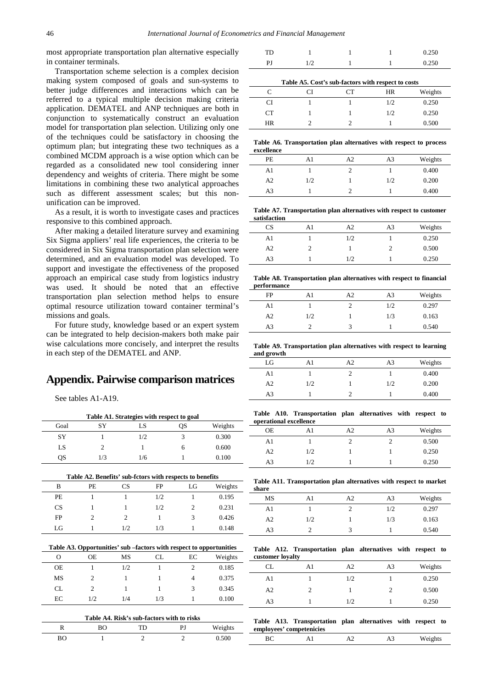most appropriate transportation plan alternative especially in container terminals.

Transportation scheme selection is a complex decision making system composed of goals and sun-systems to better judge differences and interactions which can be referred to a typical multiple decision making criteria application. DEMATEL and ANP techniques are both in conjunction to systematically construct an evaluation model for transportation plan selection. Utilizing only one of the techniques could be satisfactory in choosing the optimum plan; but integrating these two techniques as a combined MCDM approach is a wise option which can be regarded as a consolidated new tool considering inner dependency and weights of criteria. There might be some limitations in combining these two analytical approaches such as different assessment scales; but this nonunification can be improved.

As a result, it is worth to investigate cases and practices responsive to this combined approach.

After making a detailed literature survey and examining Six Sigma appliers' real life experiences, the criteria to be considered in Six Sigma transportation plan selection were determined, and an evaluation model was developed. To support and investigate the effectiveness of the proposed approach an empirical case study from logistics industry was used. It should be noted that an effective transportation plan selection method helps to ensure optimal resource utilization toward container terminal's missions and goals.

For future study, knowledge based or an expert system can be integrated to help decision-makers both make pair wise calculations more concisely, and interpret the results in each step of the DEMATEL and ANP.

## **Appendix. Pairwise comparison matrices**

See tables A1-A19.

| Table A1. Strategies with respect to goal |    |     |    |         |  |  |  |  |
|-------------------------------------------|----|-----|----|---------|--|--|--|--|
| Goal                                      | SY | LS  | OS | Weights |  |  |  |  |
| SY                                        |    | 1/2 |    | 0.300   |  |  |  |  |
| LS                                        |    |     | h  | 0.600   |  |  |  |  |
| ОS                                        |    | 1/6 |    | 0.100   |  |  |  |  |

| B         | PE.           | CS  | FP  | LG             | Weights |
|-----------|---------------|-----|-----|----------------|---------|
| PE        |               |     | 1/2 |                | 0.195   |
| <b>CS</b> |               |     | 1/2 | $\overline{c}$ | 0.231   |
| <b>FP</b> | $\mathcal{D}$ | 2   |     | 3              | 0.426   |
| LG        |               | 1/2 | 1/3 |                | 0.148   |

|     |     | Table A3. Opportunities' sub –factors with respect to opportunities |      |    |         |
|-----|-----|---------------------------------------------------------------------|------|----|---------|
|     | OE. | МS                                                                  | C 1. | EC | Weights |
| OE. |     | 1/2                                                                 |      |    | 0.185   |

| MS        |     |     |     | 0.375 |
|-----------|-----|-----|-----|-------|
| <b>CL</b> |     |     |     | 0.345 |
| EC        | 1/2 | 1/4 | 1/3 | 0.100 |

| Table A4. Risk's sub-factors with to risks |    |    |  |         |  |  |  |
|--------------------------------------------|----|----|--|---------|--|--|--|
|                                            | RΩ | TD |  | Weights |  |  |  |
| RO.                                        |    |    |  | 0.500   |  |  |  |

| TD. |     |  | 0.250 |
|-----|-----|--|-------|
| ΡI  | 1/2 |  | 0.250 |

|  |  |  | Table A5. Cost's sub-factors with respect to costs |  |
|--|--|--|----------------------------------------------------|--|
|  |  |  |                                                    |  |

|     |  | <b>HR</b> | Weights |
|-----|--|-----------|---------|
| CI  |  | 1/2       | 0.250   |
| CT. |  | 1/2       | 0.250   |
| HR  |  |           | 0.500   |

**Table A6. Transportation plan alternatives with respect to process excellence**

| <u>CACCADO A</u> |     |    |     |         |
|------------------|-----|----|-----|---------|
| PE.              | A1  | A2 | A3  | Weights |
| A1               |     |    |     | 0.400   |
| A2               | 1/2 |    | 1/2 | 0.200   |
| A3               |     |    |     | 0.400   |

**Table A7. Transportation plan alternatives with respect to customer satisfaction**

| CS | A2  | A <sub>3</sub> | Weights |
|----|-----|----------------|---------|
| A1 | 1/2 |                | 0.250   |
| A2 |     |                | 0.500   |
| A3 | 1/2 |                | 0.250   |

**Table A8. Transportation plan alternatives with respect to financial performance**

| FP | A1  | A2 | A <sub>3</sub> | Weights |
|----|-----|----|----------------|---------|
| A1 |     |    | 1/2            | 0.297   |
| A2 | 1/2 |    | 1/3            | 0.163   |
| A3 |     |    |                | 0.540   |

**Table A9. Transportation plan alternatives with respect to learning and growth**

| LG | Αl  | A2 | A3  | Weights |
|----|-----|----|-----|---------|
| A1 |     |    |     | 0.400   |
| A2 | 1/2 |    | 1/2 | 0.200   |
| A3 |     |    |     | 0.400   |

**Table A10. Transportation plan alternatives with respect to operational excellence**

| OΕ |     | A2 | A <sub>3</sub> | Weights |
|----|-----|----|----------------|---------|
| A1 |     |    |                | 0.500   |
| A2 | 1/2 |    |                | 0.250   |
| A3 | 1/2 |    |                | 0.250   |

**Table A11. Transportation plan alternatives with respect to market** 

| share          |     |    |     |         |
|----------------|-----|----|-----|---------|
| MS             | A1  | A2 | A3  | Weights |
| A1             |     |    | 1/2 | 0.297   |
| A <sub>2</sub> | 1/2 |    | 1/3 | 0.163   |
| A3             |     |    |     | 0.540   |

**Table A12. Transportation plan alternatives with respect to customer loyalty**

| CL | Al | A <sub>2</sub> | A <sub>3</sub> | Weights |
|----|----|----------------|----------------|---------|
| A1 |    | 1/2            |                | 0.250   |
| A2 |    |                | 2              | 0.500   |
| A3 |    | 1/2            |                | 0.250   |

|    | Table A13. Transportation plan alternatives with respect to<br>employees' competenicies |    |    |         |  |
|----|-----------------------------------------------------------------------------------------|----|----|---------|--|
| BС | A 1                                                                                     | A2 | A3 | Weights |  |